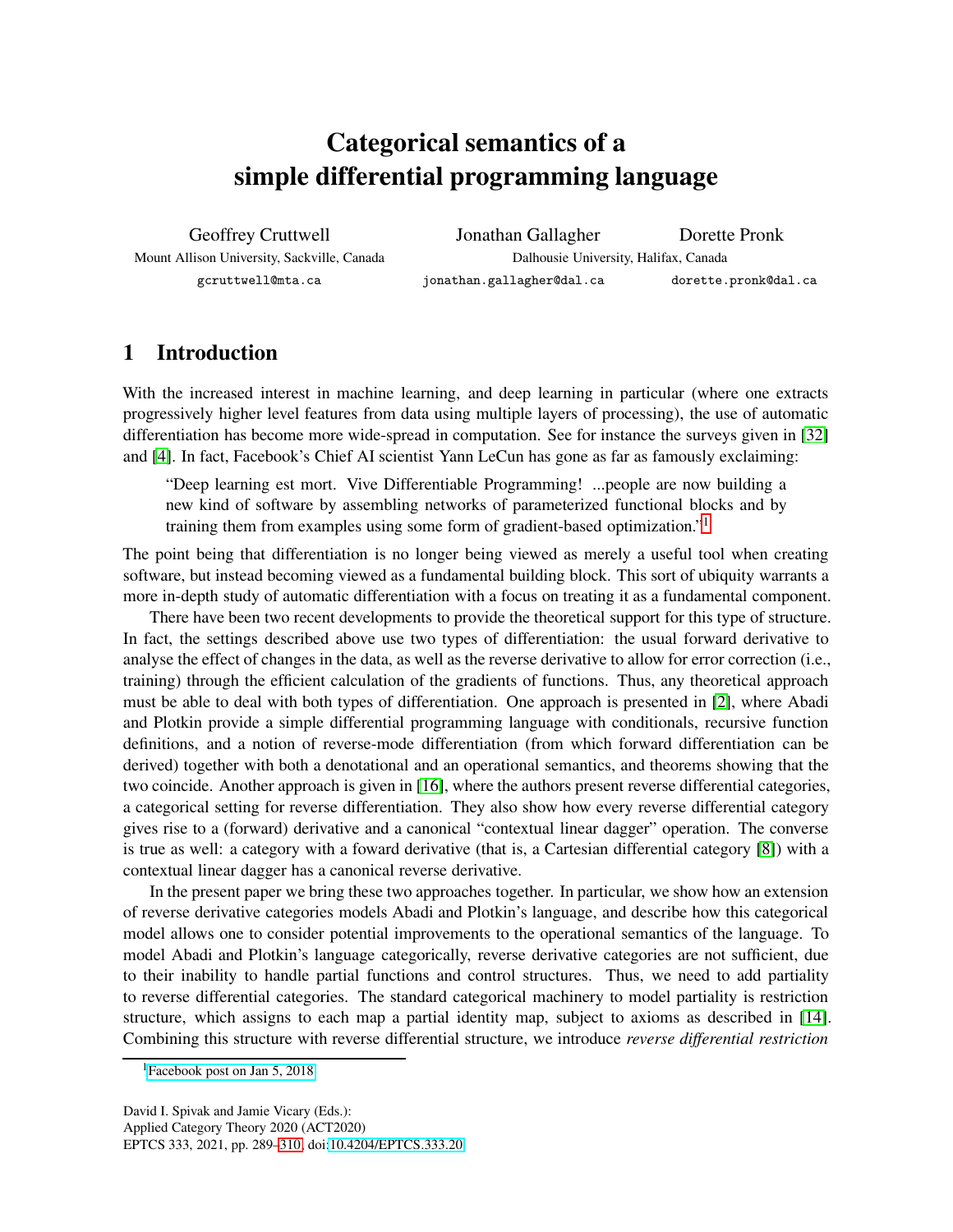# Categorical semantics of a simple differential programming language

Geoffrey Cruttwell Mount Allison University, Sackville, Canada gcruttwell@mta.ca

Jonathan Gallagher Dorette Pronk Dalhousie University, Halifax, Canada jonathan.gallagher@dal.ca dorette.pronk@dal.ca

# 1 Introduction

With the increased interest in machine learning, and deep learning in particular (where one extracts progressively higher level features from data using multiple layers of processing), the use of automatic differentiation has become more wide-spread in computation. See for instance the surveys given in [\[32\]](#page-20-0) and [\[4\]](#page-19-0). In fact, Facebook's Chief AI scientist Yann LeCun has gone as far as famously exclaiming:

"Deep learning est mort. Vive Differentiable Programming! ...people are now building a new kind of software by assembling networks of parameterized functional blocks and by training them from examples using some form of gradient-based optimization."[1](#page-0-0)

The point being that differentiation is no longer being viewed as merely a useful tool when creating software, but instead becoming viewed as a fundamental building block. This sort of ubiquity warrants a more in-depth study of automatic differentiation with a focus on treating it as a fundamental component.

There have been two recent developments to provide the theoretical support for this type of structure. In fact, the settings described above use two types of differentiation: the usual forward derivative to analyse the effect of changes in the data, as well as the reverse derivative to allow for error correction (i.e., training) through the efficient calculation of the gradients of functions. Thus, any theoretical approach must be able to deal with both types of differentiation. One approach is presented in [\[2\]](#page-19-1), where Abadi and Plotkin provide a simple differential programming language with conditionals, recursive function definitions, and a notion of reverse-mode differentiation (from which forward differentiation can be derived) together with both a denotational and an operational semantics, and theorems showing that the two coincide. Another approach is given in [\[16\]](#page-19-2), where the authors present reverse differential categories, a categorical setting for reverse differentiation. They also show how every reverse differential category gives rise to a (forward) derivative and a canonical "contextual linear dagger" operation. The converse is true as well: a category with a foward derivative (that is, a Cartesian differential category [\[8\]](#page-19-3)) with a contextual linear dagger has a canonical reverse derivative.

In the present paper we bring these two approaches together. In particular, we show how an extension of reverse derivative categories models Abadi and Plotkin's language, and describe how this categorical model allows one to consider potential improvements to the operational semantics of the language. To model Abadi and Plotkin's language categorically, reverse derivative categories are not sufficient, due to their inability to handle partial functions and control structures. Thus, we need to add partiality to reverse differential categories. The standard categorical machinery to model partiality is restriction structure, which assigns to each map a partial identity map, subject to axioms as described in [\[14\]](#page-19-4). Combining this structure with reverse differential structure, we introduce *reverse differential restriction*

<span id="page-0-0"></span><sup>1</sup>[Facebook post on Jan 5, 2018](https://www.facebook.com/yann.lecun/posts/10155003011462143)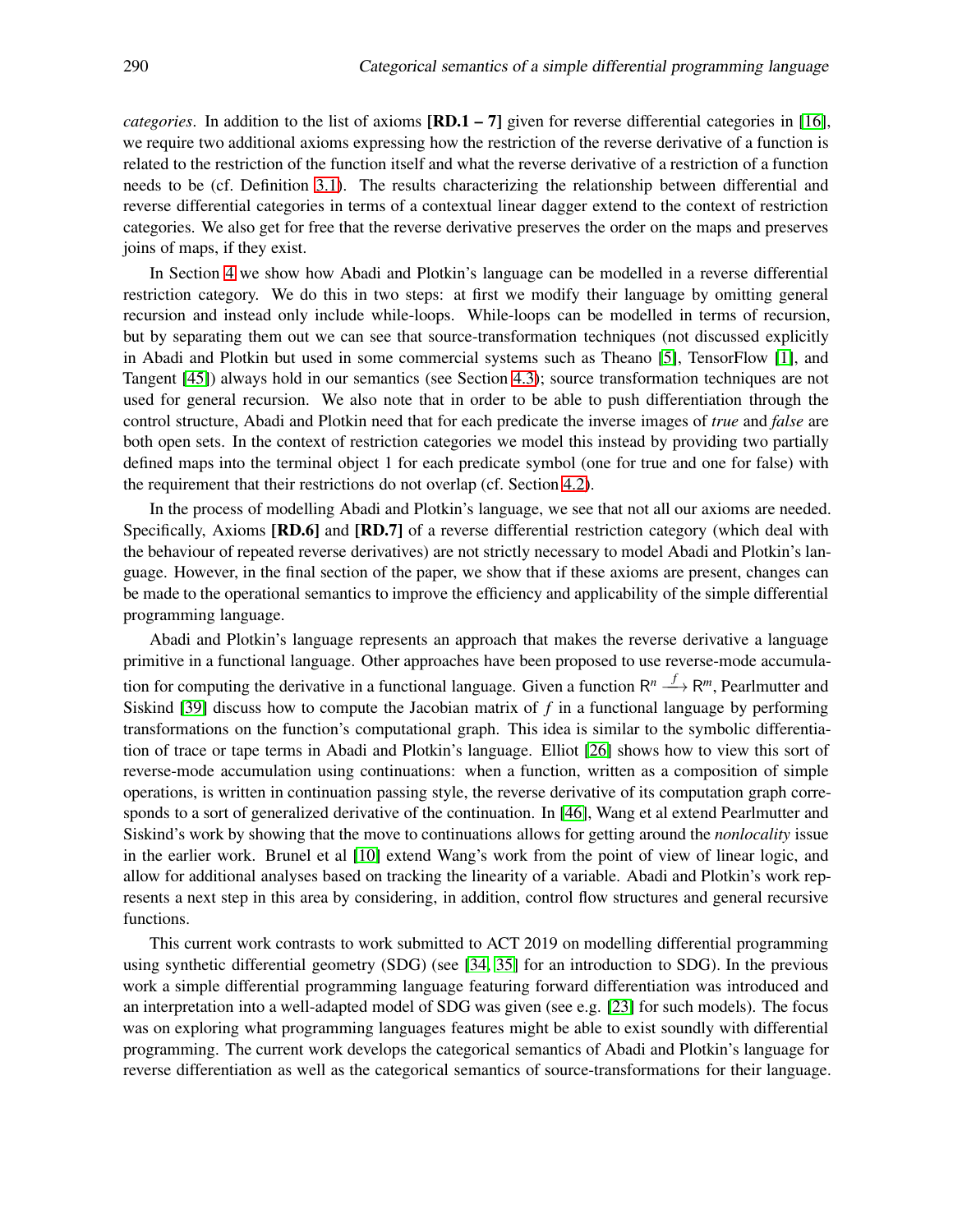*categories*. In addition to the list of axioms  $[RD.1 - 7]$  given for reverse differential categories in [\[16\]](#page-19-2), we require two additional axioms expressing how the restriction of the reverse derivative of a function is related to the restriction of the function itself and what the reverse derivative of a restriction of a function needs to be (cf. Definition [3.1\)](#page-5-0). The results characterizing the relationship between differential and reverse differential categories in terms of a contextual linear dagger extend to the context of restriction categories. We also get for free that the reverse derivative preserves the order on the maps and preserves joins of maps, if they exist.

In Section [4](#page-6-0) we show how Abadi and Plotkin's language can be modelled in a reverse differential restriction category. We do this in two steps: at first we modify their language by omitting general recursion and instead only include while-loops. While-loops can be modelled in terms of recursion, but by separating them out we can see that source-transformation techniques (not discussed explicitly in Abadi and Plotkin but used in some commercial systems such as Theano [\[5\]](#page-19-5), TensorFlow [\[1\]](#page-18-0), and Tangent [\[45\]](#page-21-1)) always hold in our semantics (see Section [4.3\)](#page-10-0); source transformation techniques are not used for general recursion. We also note that in order to be able to push differentiation through the control structure, Abadi and Plotkin need that for each predicate the inverse images of *true* and *false* are both open sets. In the context of restriction categories we model this instead by providing two partially defined maps into the terminal object 1 for each predicate symbol (one for true and one for false) with the requirement that their restrictions do not overlap (cf. Section [4.2\)](#page-8-0).

In the process of modelling Abadi and Plotkin's language, we see that not all our axioms are needed. Specifically, Axioms **[RD.6]** and **[RD.7]** of a reverse differential restriction category (which deal with the behaviour of repeated reverse derivatives) are not strictly necessary to model Abadi and Plotkin's language. However, in the final section of the paper, we show that if these axioms are present, changes can be made to the operational semantics to improve the efficiency and applicability of the simple differential programming language.

Abadi and Plotkin's language represents an approach that makes the reverse derivative a language primitive in a functional language. Other approaches have been proposed to use reverse-mode accumulation for computing the derivative in a functional language. Given a function  $R^n \stackrel{f}{\longrightarrow} R^m$ , Pearlmutter and Siskind [\[39\]](#page-20-1) discuss how to compute the Jacobian matrix of *f* in a functional language by performing transformations on the function's computational graph. This idea is similar to the symbolic differentiation of trace or tape terms in Abadi and Plotkin's language. Elliot [\[26\]](#page-20-2) shows how to view this sort of reverse-mode accumulation using continuations: when a function, written as a composition of simple operations, is written in continuation passing style, the reverse derivative of its computation graph corresponds to a sort of generalized derivative of the continuation. In [\[46\]](#page-21-2), Wang et al extend Pearlmutter and Siskind's work by showing that the move to continuations allows for getting around the *nonlocality* issue in the earlier work. Brunel et al [\[10\]](#page-19-6) extend Wang's work from the point of view of linear logic, and allow for additional analyses based on tracking the linearity of a variable. Abadi and Plotkin's work represents a next step in this area by considering, in addition, control flow structures and general recursive functions.

This current work contrasts to work submitted to ACT 2019 on modelling differential programming using synthetic differential geometry (SDG) (see [\[34,](#page-20-3) [35\]](#page-20-4) for an introduction to SDG). In the previous work a simple differential programming language featuring forward differentiation was introduced and an interpretation into a well-adapted model of SDG was given (see e.g. [\[23\]](#page-20-5) for such models). The focus was on exploring what programming languages features might be able to exist soundly with differential programming. The current work develops the categorical semantics of Abadi and Plotkin's language for reverse differentiation as well as the categorical semantics of source-transformations for their language.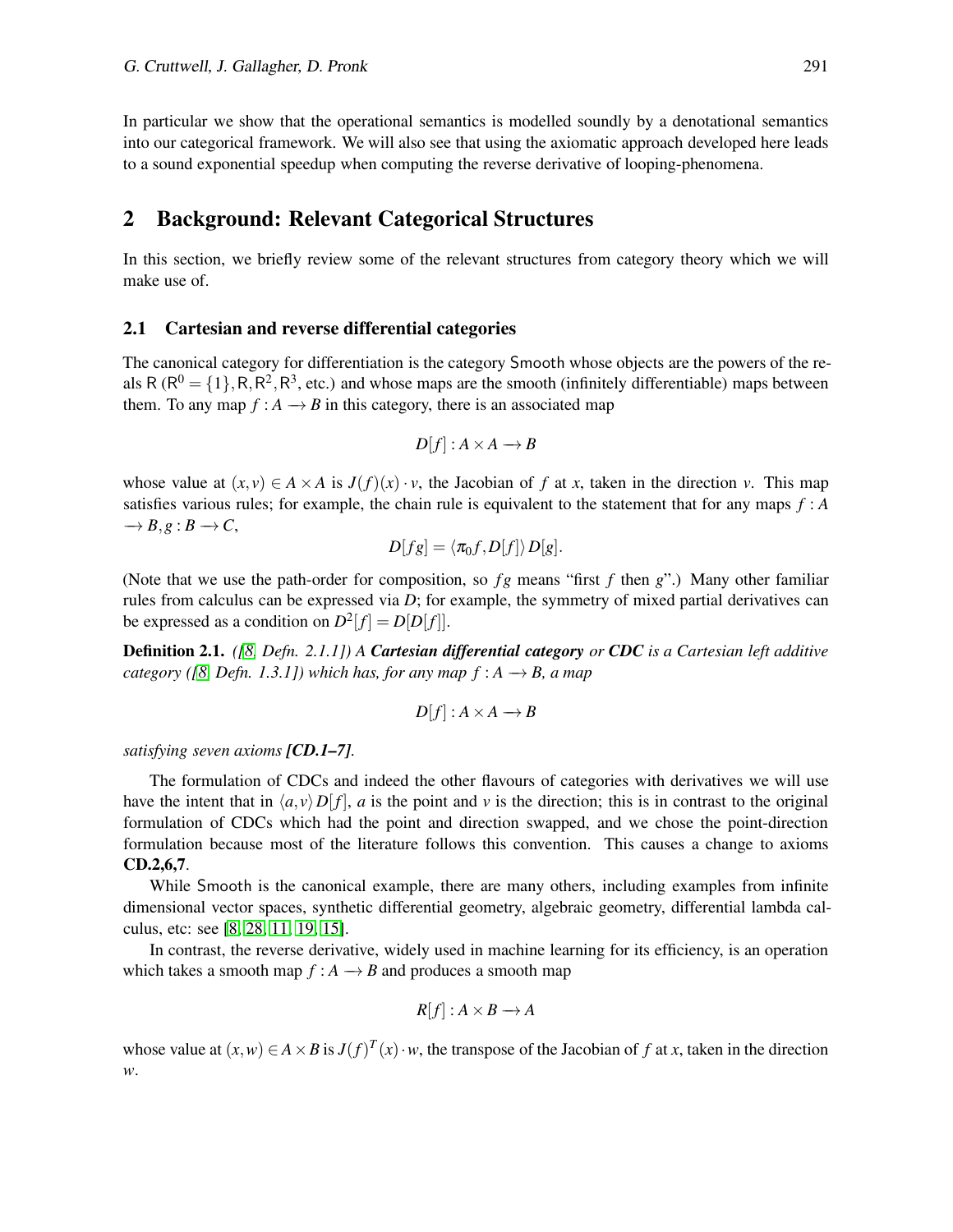In particular we show that the operational semantics is modelled soundly by a denotational semantics into our categorical framework. We will also see that using the axiomatic approach developed here leads to a sound exponential speedup when computing the reverse derivative of looping-phenomena.

### 2 Background: Relevant Categorical Structures

In this section, we briefly review some of the relevant structures from category theory which we will make use of.

#### 2.1 Cartesian and reverse differential categories

The canonical category for differentiation is the category Smooth whose objects are the powers of the reals R ( $R^0 = \{1\}$ , R, R<sup>2</sup>, R<sup>3</sup>, etc.) and whose maps are the smooth (infinitely differentiable) maps between them. To any map  $f : A \rightarrow B$  in this category, there is an associated map

$$
D[f]: A \times A \longrightarrow B
$$

whose value at  $(x, y) \in A \times A$  is  $J(f)(x) \cdot y$ , the Jacobian of f at x, taken in the direction v. This map satisfies various rules; for example, the chain rule is equivalent to the statement that for any maps  $f : A$  $\rightarrow$  *B*,*g* : *B*  $\rightarrow$  *C*,

$$
D[fg] = \langle \pi_0 f, D[f] \rangle D[g].
$$

(Note that we use the path-order for composition, so  $fg$  means "first  $f$  then  $g$ ".) Many other familiar rules from calculus can be expressed via *D*; for example, the symmetry of mixed partial derivatives can be expressed as a condition on  $D^2[f] = D[D[f]]$ .

Definition 2.1. *([\[8,](#page-19-3) Defn. 2.1.1]) A Cartesian differential category or CDC is a Cartesian left additive category (* $[8, Defn. 1.3.1]$  $[8, Defn. 1.3.1]$ ) which has, for any map  $f : A \rightarrow B$ , a map

$$
D[f]: A \times A \longrightarrow B
$$

*satisfying seven axioms [CD.1–7].*

The formulation of CDCs and indeed the other flavours of categories with derivatives we will use have the intent that in  $\langle a, v \rangle D[f]$ , *a* is the point and *v* is the direction; this is in contrast to the original formulation of CDCs which had the point and direction swapped, and we chose the point-direction formulation because most of the literature follows this convention. This causes a change to axioms CD.2,6,7.

While Smooth is the canonical example, there are many others, including examples from infinite dimensional vector spaces, synthetic differential geometry, algebraic geometry, differential lambda calculus, etc: see [\[8,](#page-19-3) [28,](#page-20-6) [11,](#page-19-7) [19,](#page-19-8) [15\]](#page-19-9).

In contrast, the reverse derivative, widely used in machine learning for its efficiency, is an operation which takes a smooth map  $f : A \rightarrow B$  and produces a smooth map

$$
R[f]: A \times B \longrightarrow A
$$

whose value at  $(x, w) \in A \times B$  is  $J(f)^{T}(x) \cdot w$ , the transpose of the Jacobian of f at x, taken in the direction *w*.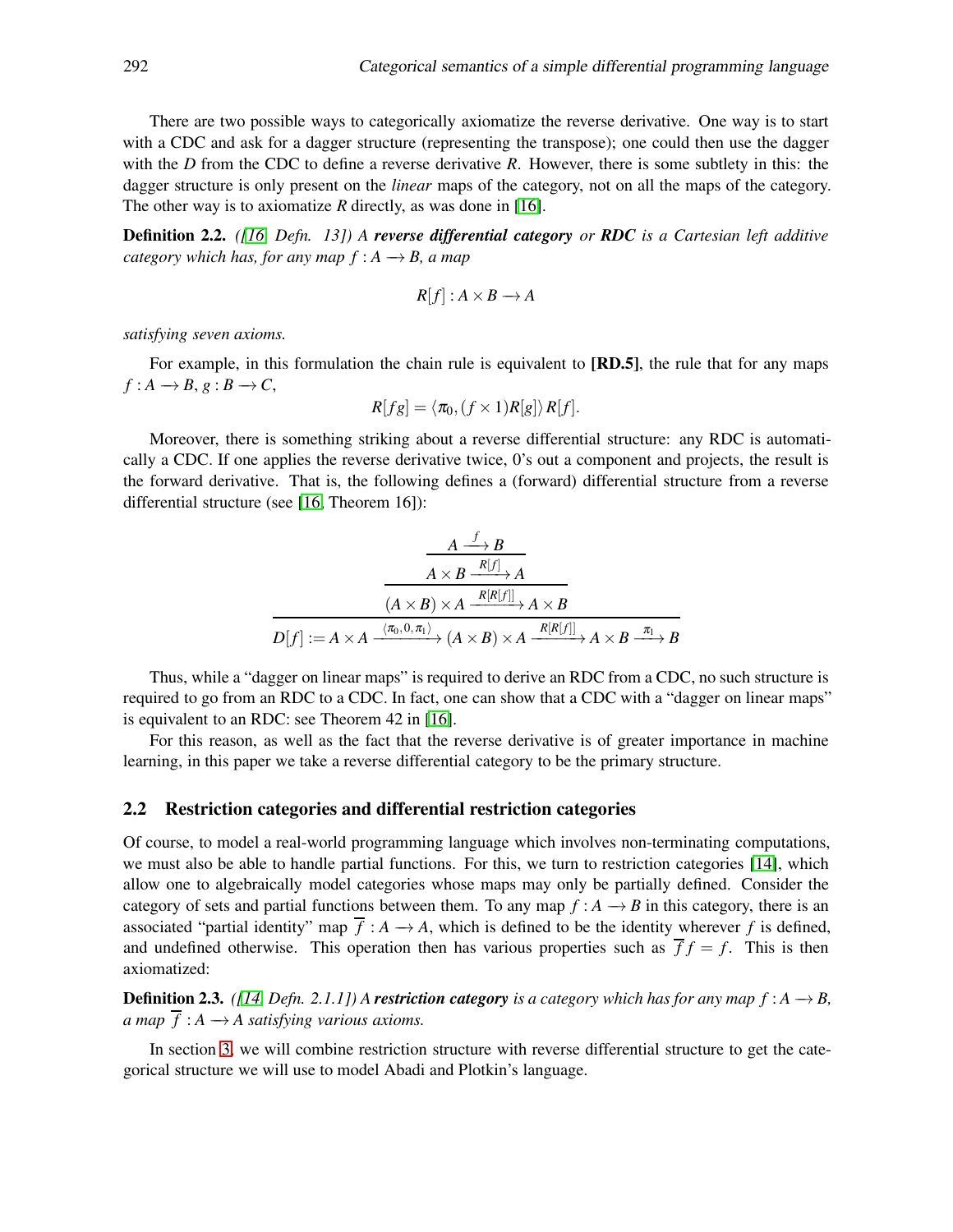There are two possible ways to categorically axiomatize the reverse derivative. One way is to start with a CDC and ask for a dagger structure (representing the transpose); one could then use the dagger with the *D* from the CDC to define a reverse derivative *R*. However, there is some subtlety in this: the dagger structure is only present on the *linear* maps of the category, not on all the maps of the category. The other way is to axiomatize *R* directly, as was done in [\[16\]](#page-19-2).

Definition 2.2. *([\[16,](#page-19-2) Defn. 13]) A reverse differential category or RDC is a Cartesian left additive category which has, for any map*  $f : A \rightarrow B$ *, a map* 

$$
R[f]: A \times B \longrightarrow A
$$

*satisfying seven axioms.*

For example, in this formulation the chain rule is equivalent to [RD.5], the rule that for any maps  $f: A \rightarrow B, g: B \rightarrow C$ ,

$$
R[fg] = \langle \pi_0, (f \times 1)R[g] \rangle R[f].
$$

Moreover, there is something striking about a reverse differential structure: any RDC is automatically a CDC. If one applies the reverse derivative twice, 0's out a component and projects, the result is the forward derivative. That is, the following defines a (forward) differential structure from a reverse differential structure (see [\[16,](#page-19-2) Theorem 16]):

$$
\xrightarrow{\begin{array}{c}\nA \xrightarrow{f} B \\
\hline\nA \times B \xrightarrow{R[f]} A \\
\hline\n(A \times B) \times A \xrightarrow{R[R[f]]} A \times B\n\end{array}}
$$
\n
$$
D[f] := A \times A \xrightarrow{\langle \pi_0, 0, \pi_1 \rangle} (A \times B) \times A \xrightarrow{R[R[f]]} A \times B \xrightarrow{\pi_1} B
$$

Thus, while a "dagger on linear maps" is required to derive an RDC from a CDC, no such structure is required to go from an RDC to a CDC. In fact, one can show that a CDC with a "dagger on linear maps" is equivalent to an RDC: see Theorem 42 in [\[16\]](#page-19-2).

For this reason, as well as the fact that the reverse derivative is of greater importance in machine learning, in this paper we take a reverse differential category to be the primary structure.

#### 2.2 Restriction categories and differential restriction categories

Of course, to model a real-world programming language which involves non-terminating computations, we must also be able to handle partial functions. For this, we turn to restriction categories [\[14\]](#page-19-4), which allow one to algebraically model categories whose maps may only be partially defined. Consider the category of sets and partial functions between them. To any map  $f : A \rightarrow B$  in this category, there is an associated "partial identity" map  $\overline{f}$  :  $A \rightarrow A$ , which is defined to be the identity wherever f is defined, and undefined otherwise. This operation then has various properties such as  $\overline{f} f = f$ . This is then axiomatized:

**Definition 2.3.** *([\[14,](#page-19-4) Defn. 2.1.1]) A restriction category is a category which has for any map f* :  $A \rightarrow B$ , *a map*  $\overline{f}: A \rightarrow A$  *satisfying various axioms.* 

In section [3,](#page-5-1) we will combine restriction structure with reverse differential structure to get the categorical structure we will use to model Abadi and Plotkin's language.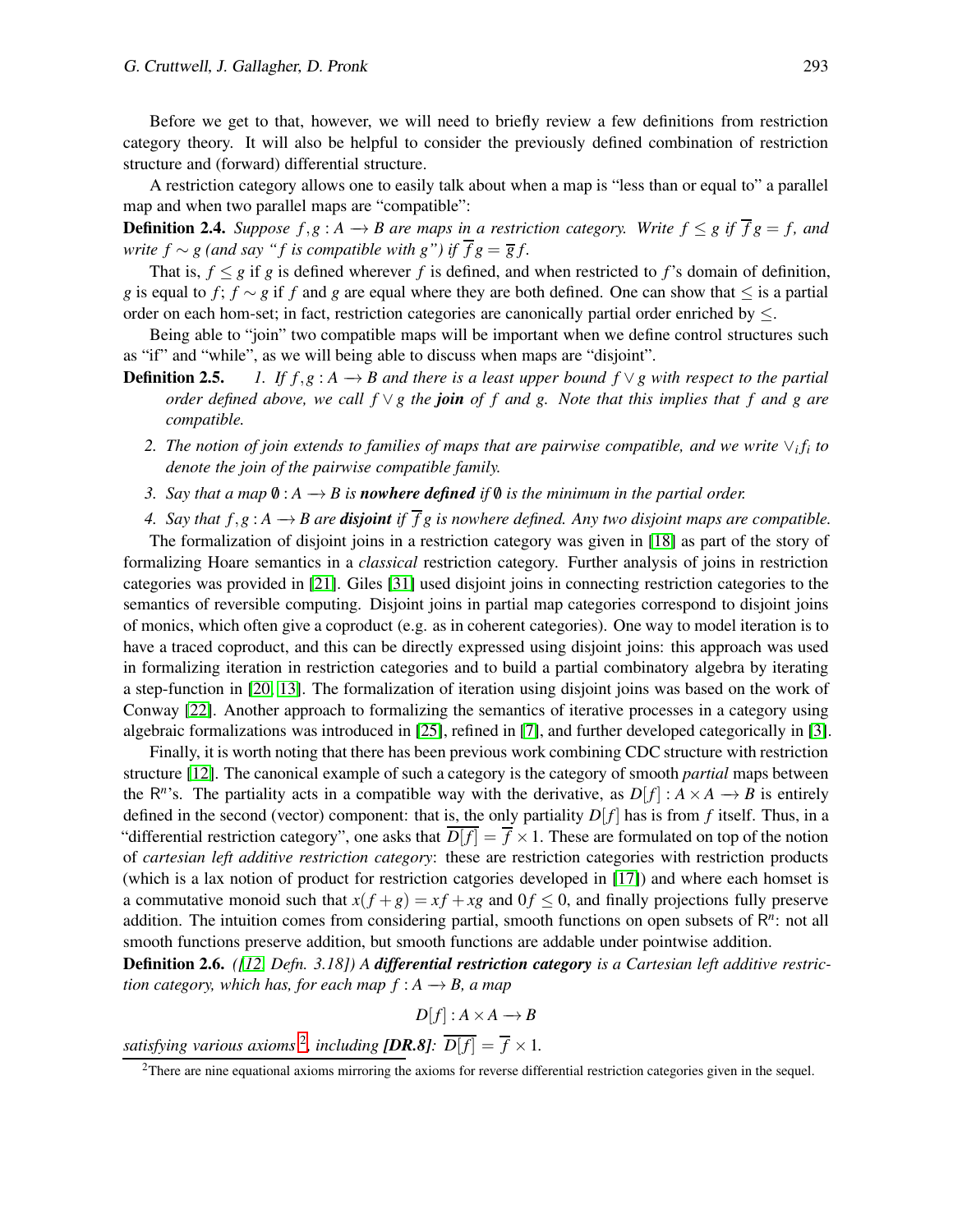Before we get to that, however, we will need to briefly review a few definitions from restriction category theory. It will also be helpful to consider the previously defined combination of restriction structure and (forward) differential structure.

A restriction category allows one to easily talk about when a map is "less than or equal to" a parallel map and when two parallel maps are "compatible":

**Definition 2.4.** *Suppose*  $f, g: A \rightarrow B$  are maps in a restriction category. Write  $f \leq g$  if  $\overline{f}g = f$ , and *write*  $f \sim g$  (and say "*f* is compatible with  $g$ ") if  $\overline{f}g = \overline{g}f$ .

That is,  $f \leq g$  if g is defined wherever f is defined, and when restricted to f's domain of definition, *g* is equal to *f*; *f* ∼ *g* if *f* and *g* are equal where they are both defined. One can show that ≤ is a partial order on each hom-set; in fact, restriction categories are canonically partial order enriched by  $\leq$ .

Being able to "join" two compatible maps will be important when we define control structures such as "if" and "while", as we will being able to discuss when maps are "disjoint".

- **Definition 2.5.** *1. If f,g* :  $A \rightarrow B$  *and there is a least upper bound f*  $\lor$  *g with respect to the partial order defined above, we call f* ∨ *g the join of f and g. Note that this implies that f and g are compatible.*
	- 2. The notion of join extends to families of maps that are pairwise compatible, and we write  $\vee_i f_i$  to *denote the join of the pairwise compatible family.*
	- *3. Say that a map*  $\emptyset$  :  $A \rightarrow B$  *is nowhere defined if*  $\emptyset$  *is the minimum in the partial order.*

*4.* Say that *f*,*g* : *A* → *B* are **disjoint** if  $\overline{f}$ *g* is nowhere defined. Any two disjoint maps are compatible.

The formalization of disjoint joins in a restriction category was given in [\[18\]](#page-19-10) as part of the story of formalizing Hoare semantics in a *classical* restriction category. Further analysis of joins in restriction categories was provided in [\[21\]](#page-20-7). Giles [\[31\]](#page-20-8) used disjoint joins in connecting restriction categories to the semantics of reversible computing. Disjoint joins in partial map categories correspond to disjoint joins of monics, which often give a coproduct (e.g. as in coherent categories). One way to model iteration is to have a traced coproduct, and this can be directly expressed using disjoint joins: this approach was used in formalizing iteration in restriction categories and to build a partial combinatory algebra by iterating a step-function in [\[20,](#page-19-11) [13\]](#page-19-12). The formalization of iteration using disjoint joins was based on the work of Conway [\[22\]](#page-20-9). Another approach to formalizing the semantics of iterative processes in a category using algebraic formalizations was introduced in [\[25\]](#page-20-10), refined in [\[7\]](#page-19-13), and further developed categorically in [\[3\]](#page-19-14).

Finally, it is worth noting that there has been previous work combining CDC structure with restriction structure [\[12\]](#page-19-15). The canonical example of such a category is the category of smooth *partial* maps between the  $R^n$ 's. The partiality acts in a compatible way with the derivative, as  $D[f] : A \times A \rightarrow B$  is entirely defined in the second (vector) component: that is, the only partiality  $D[f]$  has is from f itself. Thus, in a "differential restriction category", one asks that  $D[f] = \overline{f} \times 1$ . These are formulated on top of the notion of *cartesian left additive restriction category*: these are restriction categories with restriction products (which is a lax notion of product for restriction catgories developed in [\[17\]](#page-19-16)) and where each homset is a commutative monoid such that  $x(f+g) = xf + xg$  and  $0f \le 0$ , and finally projections fully preserve addition. The intuition comes from considering partial, smooth functions on open subsets of R<sup>n</sup>: not all smooth functions preserve addition, but smooth functions are addable under pointwise addition.

Definition 2.6. *([\[12,](#page-19-15) Defn. 3.18]) A differential restriction category is a Cartesian left additive restriction category, which has, for each map*  $f : A \rightarrow B$ *, a map* 

$$
D[f]: A \times A \longrightarrow B
$$

satisfying various axioms <sup>[2](#page-4-0)</sup>, including [DR.8]:  $\overline{D[f]} = \overline{f} \times 1$ .

<span id="page-4-0"></span><sup>&</sup>lt;sup>2</sup>There are nine equational axioms mirroring the axioms for reverse differential restriction categories given in the sequel.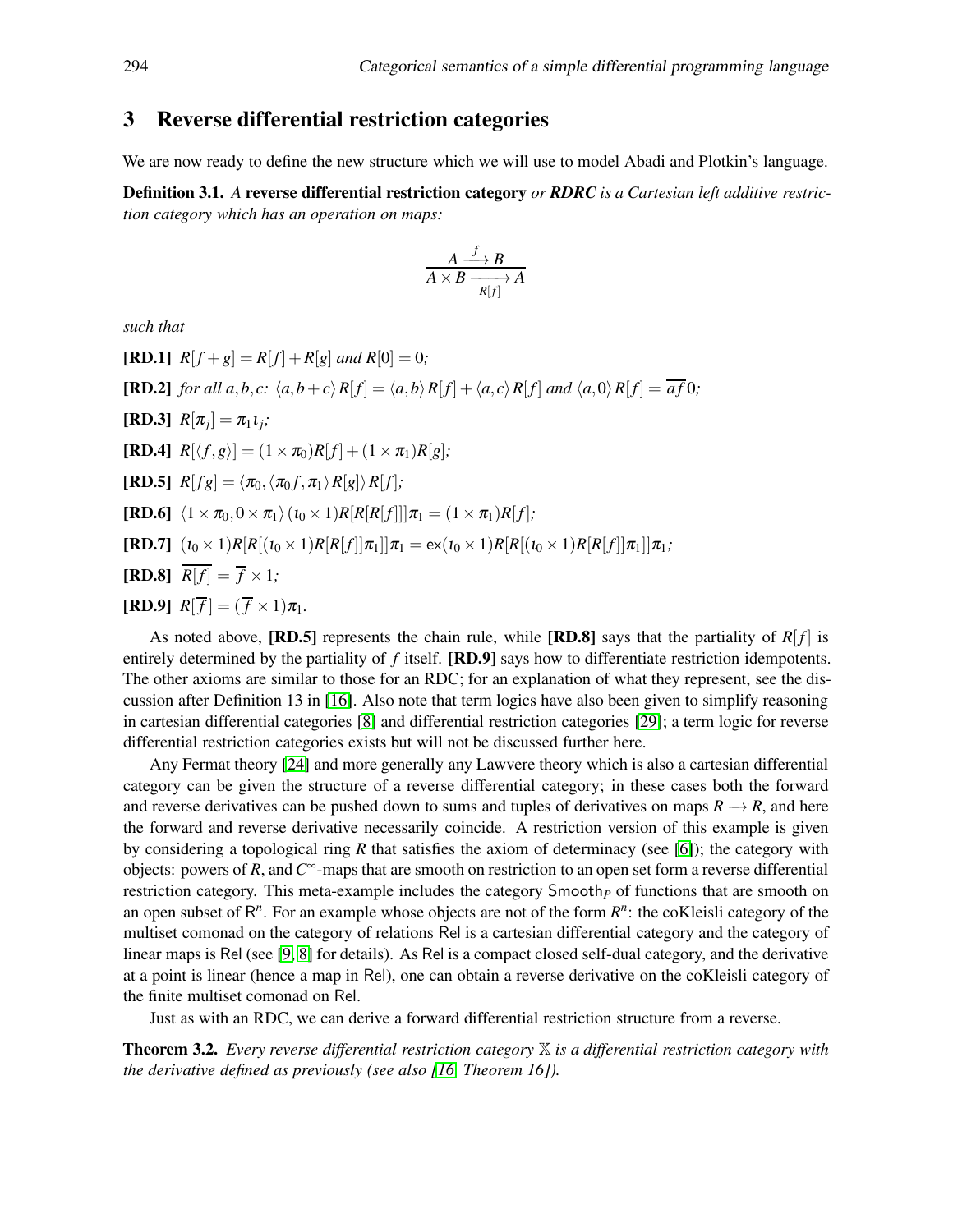## <span id="page-5-1"></span>3 Reverse differential restriction categories

We are now ready to define the new structure which we will use to model Abadi and Plotkin's language.

<span id="page-5-0"></span>Definition 3.1. *A* reverse differential restriction category *or RDRC is a Cartesian left additive restriction category which has an operation on maps:*

$$
\frac{A \xrightarrow{f} B}{A \times B \xrightarrow[R]{} A}
$$

*such that*

**[RD.1]**  $R[f+g] = R[f]+R[g]$  and  $R[0] = 0$ ; **[RD.2]** for all  $a, b, c$ :  $\langle a, b+c \rangle R[f] = \langle a, b \rangle R[f] + \langle a, c \rangle R[f]$  and  $\langle a, 0 \rangle R[f] = \overline{af} 0$ ;  $[RD.3]$   $R[\pi_j] = \pi_1 \iota_j;$  $[\mathbf{RD.4}]$   $R[\langle f, g \rangle] = (1 \times \pi_0)R[f] + (1 \times \pi_1)R[g];$ **[RD.5]**  $R[fg] = \langle \pi_0, \langle \pi_0 f, \pi_1 \rangle R[g] \rangle R[f];$  $[\mathbf{RD.6}]$   $\langle 1 \times \pi_0, 0 \times \pi_1 \rangle$   $(t_0 \times 1)R[R[R| f]]|\pi_1 = (1 \times \pi_1)R[f]$ ;  $[\mathbf{RD.7}]$   $(\iota_0 \times 1)R[R[(\iota_0 \times 1)R[R[f]]\pi_1]]\pi_1 = \mathbf{ex}(\iota_0 \times 1)R[R[(\iota_0 \times 1)R[R[f]]\pi_1]]\pi_1;$  $[RD.8]$   $\overline{R[f]} = \overline{f} \times 1$ ;  $[\mathbf{RD.9}]$   $R[\overline{f}] = (\overline{f} \times 1)\pi_1$ .

As noted above, [RD.5] represents the chain rule, while [RD.8] says that the partiality of  $R[f]$  is entirely determined by the partiality of *f* itself. [RD.9] says how to differentiate restriction idempotents. The other axioms are similar to those for an RDC; for an explanation of what they represent, see the discussion after Definition 13 in [\[16\]](#page-19-2). Also note that term logics have also been given to simplify reasoning in cartesian differential categories [\[8\]](#page-19-3) and differential restriction categories [\[29\]](#page-20-11); a term logic for reverse differential restriction categories exists but will not be discussed further here.

Any Fermat theory [\[24\]](#page-20-12) and more generally any Lawvere theory which is also a cartesian differential category can be given the structure of a reverse differential category; in these cases both the forward and reverse derivatives can be pushed down to sums and tuples of derivatives on maps  $R \to R$ , and here the forward and reverse derivative necessarily coincide. A restriction version of this example is given by considering a topological ring *R* that satisfies the axiom of determinacy (see [\[6\]](#page-19-17)); the category with objects: powers of *R*, and*C* <sup>∞</sup>-maps that are smooth on restriction to an open set form a reverse differential restriction category. This meta-example includes the category Smooth<sub>*P*</sub> of functions that are smooth on an open subset of  $R<sup>n</sup>$ . For an example whose objects are not of the form  $R<sup>n</sup>$ : the coKleisli category of the multiset comonad on the category of relations Rel is a cartesian differential category and the category of linear maps is Rel (see [\[9,](#page-19-18) [8\]](#page-19-3) for details). As Rel is a compact closed self-dual category, and the derivative at a point is linear (hence a map in Rel), one can obtain a reverse derivative on the coKleisli category of the finite multiset comonad on Rel.

Just as with an RDC, we can derive a forward differential restriction structure from a reverse.

Theorem 3.2. *Every reverse differential restriction category* X *is a differential restriction category with the derivative defined as previously (see also [\[16,](#page-19-2) Theorem 16]).*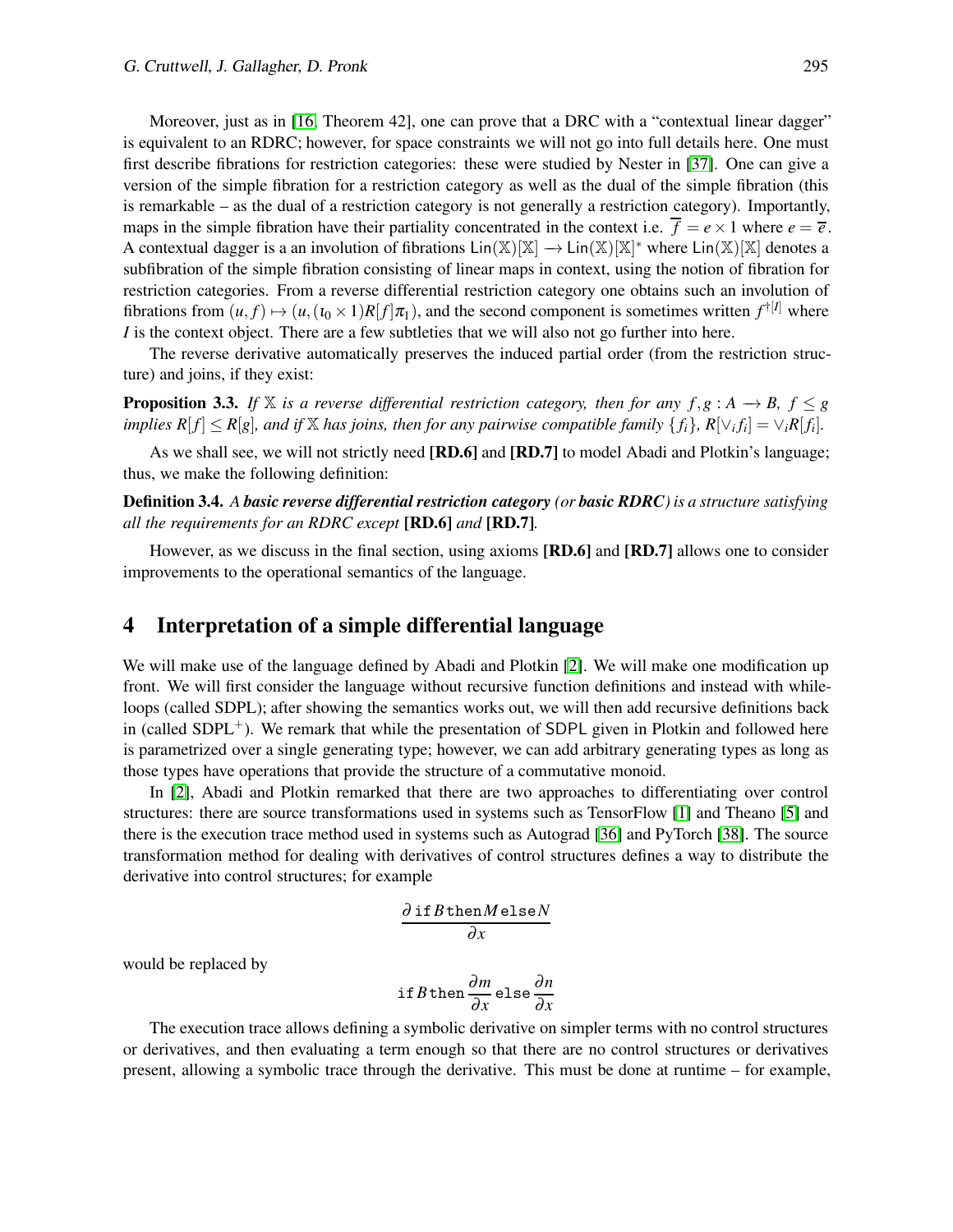Moreover, just as in [\[16,](#page-19-2) Theorem 42], one can prove that a DRC with a "contextual linear dagger" is equivalent to an RDRC; however, for space constraints we will not go into full details here. One must first describe fibrations for restriction categories: these were studied by Nester in [\[37\]](#page-20-13). One can give a version of the simple fibration for a restriction category as well as the dual of the simple fibration (this is remarkable – as the dual of a restriction category is not generally a restriction category). Importantly, maps in the simple fibration have their partiality concentrated in the context i.e.  $\overline{f} = e \times 1$  where  $e = \overline{e}$ . A contextual dagger is a an involution of fibrations  $\text{Lin}(\mathbb{X})[\mathbb{X}] \to \text{Lin}(\mathbb{X})[\mathbb{X}]^*$  where  $\text{Lin}(\mathbb{X})[\mathbb{X}]$  denotes a subfibration of the simple fibration consisting of linear maps in context, using the notion of fibration for restriction categories. From a reverse differential restriction category one obtains such an involution of fibrations from  $(u, f) \mapsto (u, (i_0 \times 1)R[f]\pi_1)$ , and the second component is sometimes written  $f^{\dagger[I]}$  where *I* is the context object. There are a few subtleties that we will also not go further into here.

The reverse derivative automatically preserves the induced partial order (from the restriction structure) and joins, if they exist:

**Proposition 3.3.** *If* X *is a reverse differential restriction category, then for any*  $f, g : A \rightarrow B, f \leq g$ implies  $R[f] \le R[g]$ , and if X has joins, then for any pairwise compatible family  $\{f_i\}$ ,  $R[\vee_i f_i] = \vee_i R[f_i]$ .

As we shall see, we will not strictly need [RD.6] and [RD.7] to model Abadi and Plotkin's language; thus, we make the following definition:

Definition 3.4. *A basic reverse differential restriction category (or basic RDRC) is a structure satisfying all the requirements for an RDRC except* [RD.6] *and* [RD.7]*.*

However, as we discuss in the final section, using axioms [RD.6] and [RD.7] allows one to consider improvements to the operational semantics of the language.

## <span id="page-6-0"></span>4 Interpretation of a simple differential language

We will make use of the language defined by Abadi and Plotkin [\[2\]](#page-19-1). We will make one modification up front. We will first consider the language without recursive function definitions and instead with whileloops (called SDPL); after showing the semantics works out, we will then add recursive definitions back in (called SDPL<sup>+</sup>). We remark that while the presentation of SDPL given in Plotkin and followed here is parametrized over a single generating type; however, we can add arbitrary generating types as long as those types have operations that provide the structure of a commutative monoid.

In [\[2\]](#page-19-1), Abadi and Plotkin remarked that there are two approaches to differentiating over control structures: there are source transformations used in systems such as TensorFlow [\[1\]](#page-18-0) and Theano [\[5\]](#page-19-5) and there is the execution trace method used in systems such as Autograd [\[36\]](#page-20-14) and PyTorch [\[38\]](#page-20-15). The source transformation method for dealing with derivatives of control structures defines a way to distribute the derivative into control structures; for example

$$
\frac{\partial \text{ if } B \text{ then } M \text{ else } N}{\partial x}
$$

would be replaced by

if B then 
$$
\frac{\partial m}{\partial x}
$$
 else  $\frac{\partial n}{\partial x}$ 

The execution trace allows defining a symbolic derivative on simpler terms with no control structures or derivatives, and then evaluating a term enough so that there are no control structures or derivatives present, allowing a symbolic trace through the derivative. This must be done at runtime – for example,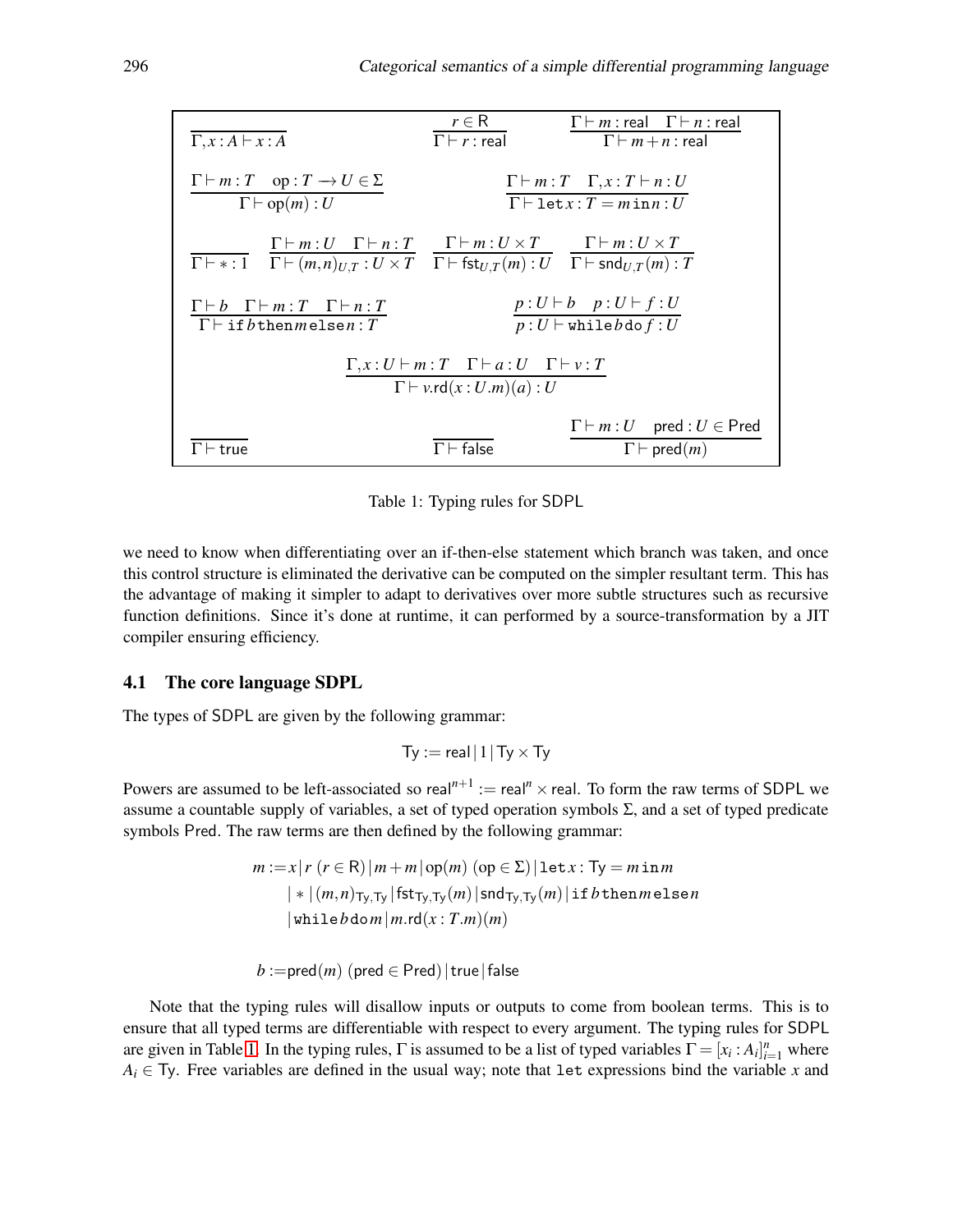| $\Gamma, x : A \vdash x : A$                                                                                                                                                                                                                                                          | $r \in \mathsf{R}$<br>$\Gamma\vdash r$ : real                                                           | $\Gamma \vdash m$ : real $\Gamma \vdash n$ : real<br>$\Gamma \vdash m+n$ : real     |
|---------------------------------------------------------------------------------------------------------------------------------------------------------------------------------------------------------------------------------------------------------------------------------------|---------------------------------------------------------------------------------------------------------|-------------------------------------------------------------------------------------|
| $\Gamma \vdash m : T$ op : $T \rightarrow U \in \Sigma$<br>$\Gamma \vdash op(m): U$                                                                                                                                                                                                   | $\Gamma \vdash m : T \quad \Gamma, x : T \vdash n : U$<br>$\Gamma \vdash \texttt{let} x : T = minn : U$ |                                                                                     |
| $\Gamma \vdash m: U \quad \Gamma \vdash n: T \qquad \Gamma \vdash m: U \times T \qquad \Gamma \vdash m: U \times T$<br>$\Gamma \vdash * : 1 \quad \Gamma \vdash (m,n)_{U,T} : U \times T \quad \Gamma \vdash \mathsf{fst}_{U,T}(m) : U \quad \Gamma \vdash \mathsf{snd}_{U,T}(m) : T$ |                                                                                                         |                                                                                     |
| $\Gamma \vdash b \quad \Gamma \vdash m : T \quad \Gamma \vdash n : T$<br>$\Gamma \vdash \texttt{if} \, b$ thenmelsen: T                                                                                                                                                               |                                                                                                         | $p:U\vdash b$ $p:U\vdash f:U$<br>$p:U\vdash \mathtt{while} b$ do $f:U$              |
| $\Gamma, x: U \vdash m: T \quad \Gamma \vdash a: U \quad \Gamma \vdash v: T$<br>$\Gamma \vdash v.\mathsf{rd}(x:U.m)(a):U$                                                                                                                                                             |                                                                                                         |                                                                                     |
| $\Gamma \vdash$ true                                                                                                                                                                                                                                                                  | $\Gamma\vdash$ false                                                                                    | $\Gamma \vdash m : U$ pred : $U \in \text{Pred}$<br>$\Gamma\vdash \mathsf{pred}(m)$ |

<span id="page-7-0"></span>Table 1: Typing rules for SDPL

we need to know when differentiating over an if-then-else statement which branch was taken, and once this control structure is eliminated the derivative can be computed on the simpler resultant term. This has the advantage of making it simpler to adapt to derivatives over more subtle structures such as recursive function definitions. Since it's done at runtime, it can performed by a source-transformation by a JIT compiler ensuring efficiency.

#### 4.1 The core language SDPL

The types of SDPL are given by the following grammar:

$$
Ty := \mathsf{real} \, | \, 1 \, | \, Ty \times Ty
$$

Powers are assumed to be left-associated so real<sup> $n+1$ </sup> := real<sup>n</sup> × real. To form the raw terms of SDPL we assume a countable supply of variables, a set of typed operation symbols Σ, and a set of typed predicate symbols Pred. The raw terms are then defined by the following grammar:

$$
m := x | r (r \in R) | m + m | op(m) (op \in \Sigma) | \text{let } x : Ty = m \text{ in } m
$$
  
 
$$
| * | (m, n)_{Ty, Ty} | \text{fst}_{Ty, Ty}(m) | \text{snd}_{Ty, Ty}(m) | \text{if } b \text{ then } m \text{ else } n
$$
  
 
$$
| \text{while } b \text{dom} | m \text{.rd}(x : T.m)(m)
$$

 $b :=$ pred $(m)$  (pred  $\in$  Pred) | true | false

Note that the typing rules will disallow inputs or outputs to come from boolean terms. This is to ensure that all typed terms are differentiable with respect to every argument. The typing rules for SDPL are given in Table [1.](#page-7-0) In the typing rules,  $\Gamma$  is assumed to be a list of typed variables  $\Gamma = [x_i : A_i]_{i=1}^n$  where  $A_i \in T$ y. Free variables are defined in the usual way; note that let expressions bind the variable *x* and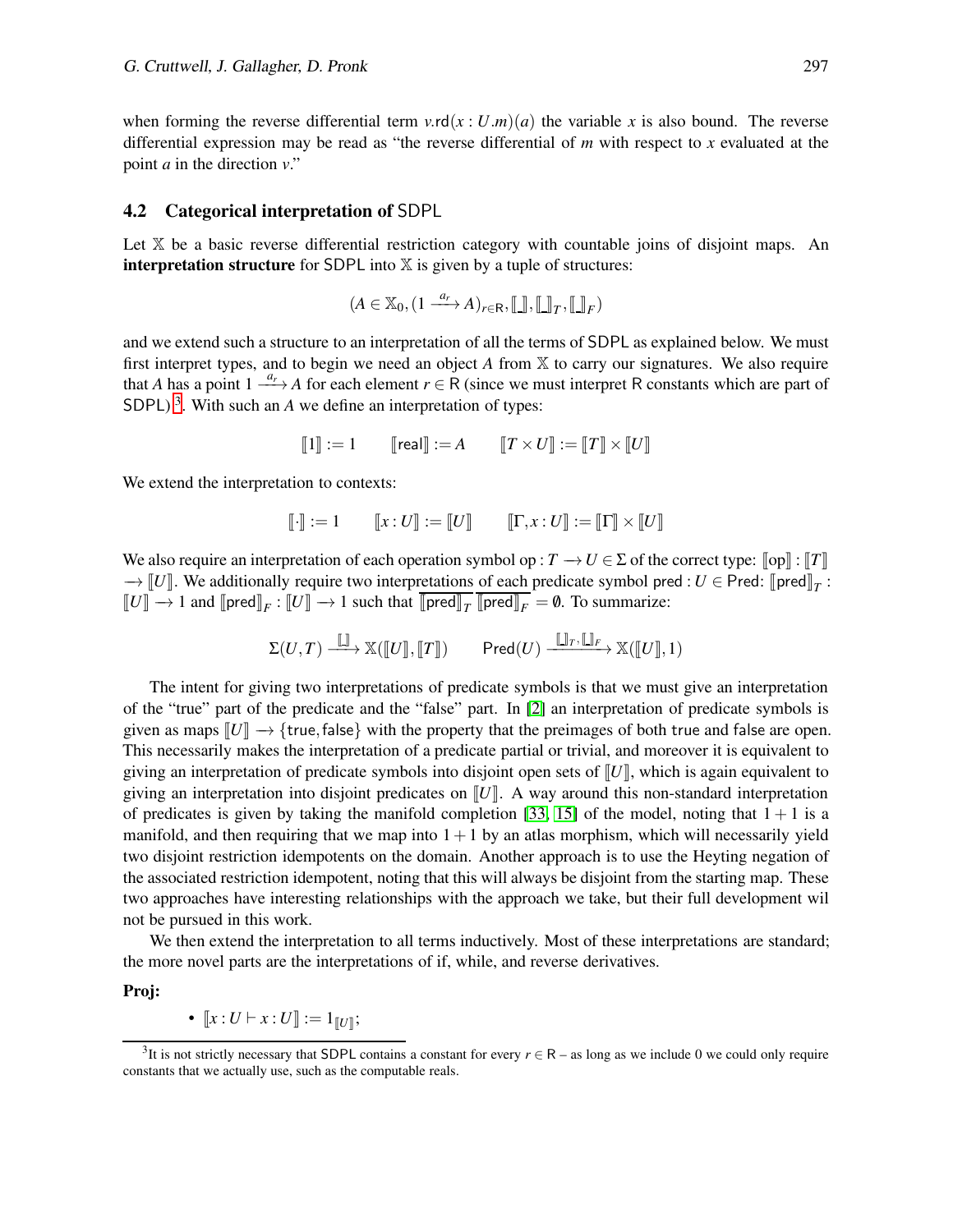when forming the reverse differential term  $v \cdot r d(x : U.m)(a)$  the variable x is also bound. The reverse differential expression may be read as "the reverse differential of *m* with respect to *x* evaluated at the point *a* in the direction *v*."

#### <span id="page-8-0"></span>4.2 Categorical interpretation of SDPL

Let X be a basic reverse differential restriction category with countable joins of disjoint maps. An **interpretation structure** for SDPL into  $X$  is given by a tuple of structures:

$$
(A \in \mathbb{X}_0, (1 \xrightarrow{a_r} A)_{r \in \mathsf{R}}, [\![\underline{\cdot}]\!] , [\![\underline{\cdot}]\!]_T, [\![\underline{\cdot}]\!]_F)
$$

and we extend such a structure to an interpretation of all the terms of SDPL as explained below. We must first interpret types, and to begin we need an object *A* from X to carry our signatures. We also require that *A* has a point  $1 \stackrel{a_r}{\longrightarrow} A$  for each element  $r \in R$  (since we must interpret R constants which are part of SDPL)<sup>[3](#page-8-1)</sup>. With such an  $A$  we define an interpretation of types:

$$
\llbracket 1 \rrbracket := 1 \qquad \llbracket \text{real} \rrbracket := A \qquad \llbracket T \times U \rrbracket := \llbracket T \rrbracket \times \llbracket U \rrbracket
$$

We extend the interpretation to contexts:

$$
\llbracket \cdot \rrbracket := 1 \qquad \llbracket x : U \rrbracket := \llbracket U \rrbracket \qquad \llbracket \Gamma, x : U \rrbracket := \llbracket \Gamma \rrbracket \times \llbracket U \rrbracket
$$

We also require an interpretation of each operation symbol op :  $T \to U \in \Sigma$  of the correct type:  $\llbracket op \rrbracket : \llbracket T \rrbracket$  $\rightarrow$  [*U*]. We additionally require two interpretations of each predicate symbol pred : *U* ∈ Pred: [pred]<sub>*T*</sub> :  $\llbracket U \rrbracket \to 1$  and  $\llbracket \text{pred} \rrbracket_F : \llbracket U \rrbracket \to 1$  such that  $\llbracket \text{pred} \rrbracket_T \llbracket \text{pred} \rrbracket_F = \emptyset$ . To summarize:

$$
\Sigma(U,T) \xrightarrow{\llbracket \cdot \rrbracket} \mathbb{X}(\llbracket U \rrbracket, \llbracket T \rrbracket) \qquad \mathsf{Pred}(U) \xrightarrow{\llbracket \cdot \rrbracket_{T}, \llbracket \cdot \rrbracket_{F}} \mathbb{X}(\llbracket U \rrbracket, 1)
$$

The intent for giving two interpretations of predicate symbols is that we must give an interpretation of the "true" part of the predicate and the "false" part. In [\[2\]](#page-19-1) an interpretation of predicate symbols is given as maps  $\llbracket U \rrbracket \to \{\text{true}, \text{false}\}$  with the property that the preimages of both true and false are open. This necessarily makes the interpretation of a predicate partial or trivial, and moreover it is equivalent to giving an interpretation of predicate symbols into disjoint open sets of  $\llbracket U \rrbracket$ , which is again equivalent to giving an interpretation into disjoint predicates on  $\llbracket U \rrbracket$ . A way around this non-standard interpretation of predicates is given by taking the manifold completion [\[33,](#page-20-16) [15\]](#page-19-9) of the model, noting that  $1 + 1$  is a manifold, and then requiring that we map into  $1+1$  by an atlas morphism, which will necessarily yield two disjoint restriction idempotents on the domain. Another approach is to use the Heyting negation of the associated restriction idempotent, noting that this will always be disjoint from the starting map. These two approaches have interesting relationships with the approach we take, but their full development wil not be pursued in this work.

We then extend the interpretation to all terms inductively. Most of these interpretations are standard; the more novel parts are the interpretations of if, while, and reverse derivatives.

Proj:

• 
$$
[\![x:U\vdash x:U]\!]:=1_{[\![U]\!]};
$$

<span id="page-8-1"></span><sup>&</sup>lt;sup>3</sup>It is not strictly necessary that SDPL contains a constant for every  $r \in R$  – as long as we include 0 we could only require constants that we actually use, such as the computable reals.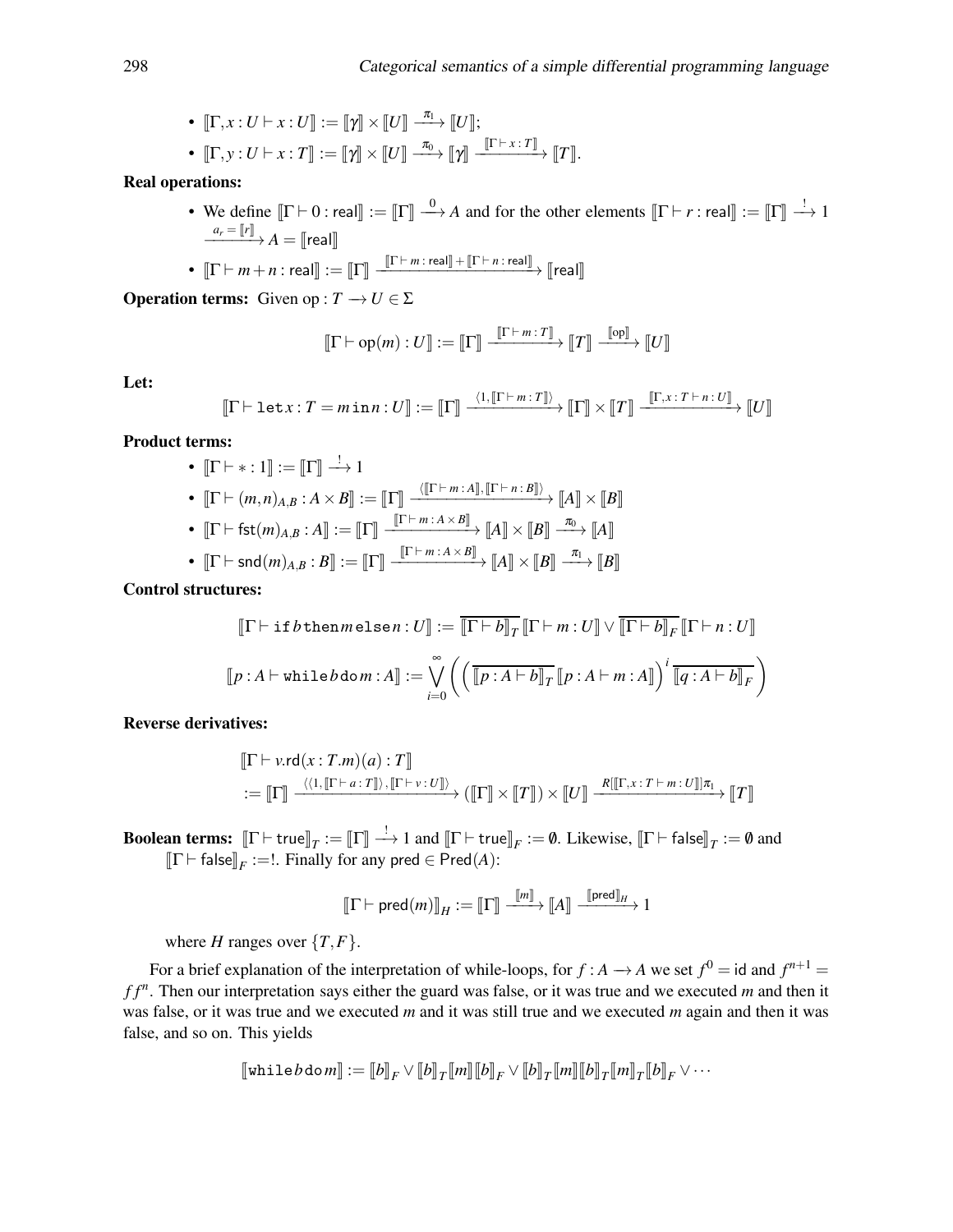• 
$$
[\![\Gamma, x : U \vdash x : U]\!] := [\![\gamma]\!] \times [\![U]\!] \xrightarrow{\pi_1} [\![U]\!];
$$
  
\n•  $[\![\Gamma, y : U \vdash x : T]\!] := [\![\gamma]\!] \times [\![U]\!] \xrightarrow{\pi_0} [\![\gamma]\!] \xrightarrow{[\![\Gamma \vdash x : T]\!]} [\![T]\!].$ 

Real operations:

• We define  $[\![\Gamma \vdash 0 \,:\, \text{real}]\!] := [\![\Gamma]\!] \stackrel{0}{\longrightarrow} A$  and for the other elements  $[\![\Gamma \vdash r \,:\, \text{real}]\!] := [\![\Gamma]\!] \stackrel{!}{\longrightarrow} 1$  $\frac{a_r = \llbracket r \rrbracket}{\longrightarrow} A = \llbracket \mathsf{real} \rrbracket$ 

• 
$$
\llbracket \Gamma \vdash m+n : \mathsf{real} \rrbracket := \llbracket \Gamma \rrbracket \xrightarrow{\llbracket \Gamma \vdash m : \mathsf{real} \rrbracket + \llbracket \Gamma \vdash n : \mathsf{real} \rrbracket} \mathsf{real} \rrbracket
$$

**Operation terms:** Given op :  $T \rightarrow U \in \Sigma$ 

$$
\llbracket \Gamma \vdash \mathrm{op}(m) : U \rrbracket := \llbracket \Gamma \rrbracket \xrightarrow{\llbracket \Gamma \vdash m : T \rrbracket} \llbracket T \rrbracket \xrightarrow{\llbracket \mathrm{op} \rrbracket} \llbracket U \rrbracket
$$

Let:

$$
\llbracket \Gamma \vdash \texttt{let} x : T = m \texttt{in} \, n : U \rrbracket := \llbracket \Gamma \rrbracket \xrightarrow{\langle 1, \llbracket \Gamma \vdash m : T \rrbracket \rangle} \llbracket \Gamma \rrbracket \times \llbracket T \rrbracket \xrightarrow{\llbracket \Gamma, x : T \vdash n : U \rrbracket} \llbracket U \rrbracket
$$

Product terms:

\n- \n
$$
\begin{aligned}\n &\bullet \quad \llbracket \Gamma \vdash \ast : 1 \rrbracket := \llbracket \Gamma \rrbracket \xrightarrow{\cdot} 1 \\
 &\bullet \quad \llbracket \Gamma \vdash (m, n)_{A, B} : A \times B \rrbracket := \llbracket \Gamma \rrbracket \xrightarrow{\langle \llbracket \Gamma \vdash m : A \rrbracket, \llbracket \Gamma \vdash n : B \rrbracket \rangle} \llbracket A \rrbracket \times \llbracket B \rrbracket \\
 &\bullet \quad \llbracket \Gamma \vdash \mathsf{fst}(m)_{A, B} : A \rrbracket := \llbracket \Gamma \rrbracket \xrightarrow{\llbracket \Gamma \vdash m : A \times B \rrbracket} \llbracket A \rrbracket \times \llbracket B \rrbracket \xrightarrow{\pi_0} \llbracket A \rrbracket\n \end{aligned}
$$
\n
\n

 $\bullet \quad \llbracket \Gamma \vdash \mathsf{snd}(m)_{A,B} : B \rrbracket := \llbracket \Gamma \rrbracket \xrightarrow{\llbracket \Gamma \vdash m : A \times B \rrbracket} \llbracket A \rrbracket \times \llbracket B \rrbracket \xrightarrow{\pi_1} \llbracket B \rrbracket$ 

Control structures:

$$
\llbracket \Gamma \vdash \texttt{if } b \texttt{then } m \texttt{else } n : U \rrbracket := \overline{\llbracket \Gamma \vdash b \rrbracket_T} \, \llbracket \Gamma \vdash m : U \rrbracket \vee \overline{\llbracket \Gamma \vdash b \rrbracket_F} \, \llbracket \Gamma \vdash n : U \rrbracket
$$
\n
$$
\llbracket p : A \vdash \texttt{while } b \texttt{dom} : A \rrbracket := \bigvee_{i=0}^{\infty} \left( \left( \overline{\llbracket p : A \vdash b \rrbracket_T} \, \llbracket p : A \vdash m : A \rrbracket \right)^i \, \overline{\llbracket q : A \vdash b \rrbracket_F} \right)
$$

Reverse derivatives:

$$
\begin{aligned}\n[\![\Gamma \vdash v.\mathsf{rd}(x:T.m)(a):T]\!] \\
:= \llbracket \Gamma \rrbracket \xrightarrow{\langle \langle 1, [\![\Gamma \vdash a:T]\!] \rangle, [\![\Gamma \vdash v:U]\!] \rangle} \left(\llbracket \Gamma \rrbracket \times [\![T]\!] \right) \times [\![U]\!] \xrightarrow{R[[\![\Gamma,x:T \vdash m:U]\!] \pi_1} \ll \llbracket T \rrbracket\n\end{aligned}
$$

**Boolean terms:**  $[\![\Gamma \vdash \text{true}]\!]_T := [\![\Gamma]\!] \stackrel{!}{\longrightarrow} 1$  and  $[\![\Gamma \vdash \text{true}]\!]_F := \emptyset$ . Likewise,  $[\![\Gamma \vdash \text{false}]\!]_T := \emptyset$  and  $\llbracket \Gamma \vdash \mathsf{false} \rrbracket_F :=!$ . Finally for any pred  $\in \mathsf{Pred}(A)$ :

$$
\llbracket \Gamma \vdash \mathsf{pred}(m) \rrbracket_H := \llbracket \Gamma \rrbracket \xrightarrow{\llbracket m \rrbracket} \llbracket A \rrbracket \xrightarrow{\llbracket \mathsf{pred} \rrbracket_H} 1
$$

where *H* ranges over  $\{T, F\}$ .

For a brief explanation of the interpretation of while-loops, for  $f : A \rightarrow A$  we set  $f^0 = id$  and  $f^{n+1} =$ *f f <sup>n</sup>* . Then our interpretation says either the guard was false, or it was true and we executed *m* and then it was false, or it was true and we executed *m* and it was still true and we executed *m* again and then it was false, and so on. This yields

$$
\llbracket \text{while } b \text{ do } m \rrbracket := \llbracket b \rrbracket_F \vee \llbracket b \rrbracket_T \llbracket m \rrbracket \llbracket b \rrbracket_F \vee \llbracket b \rrbracket_T \llbracket m \rrbracket \llbracket b \rrbracket_T \llbracket m \rrbracket_T \llbracket b \rrbracket_F \vee \cdots
$$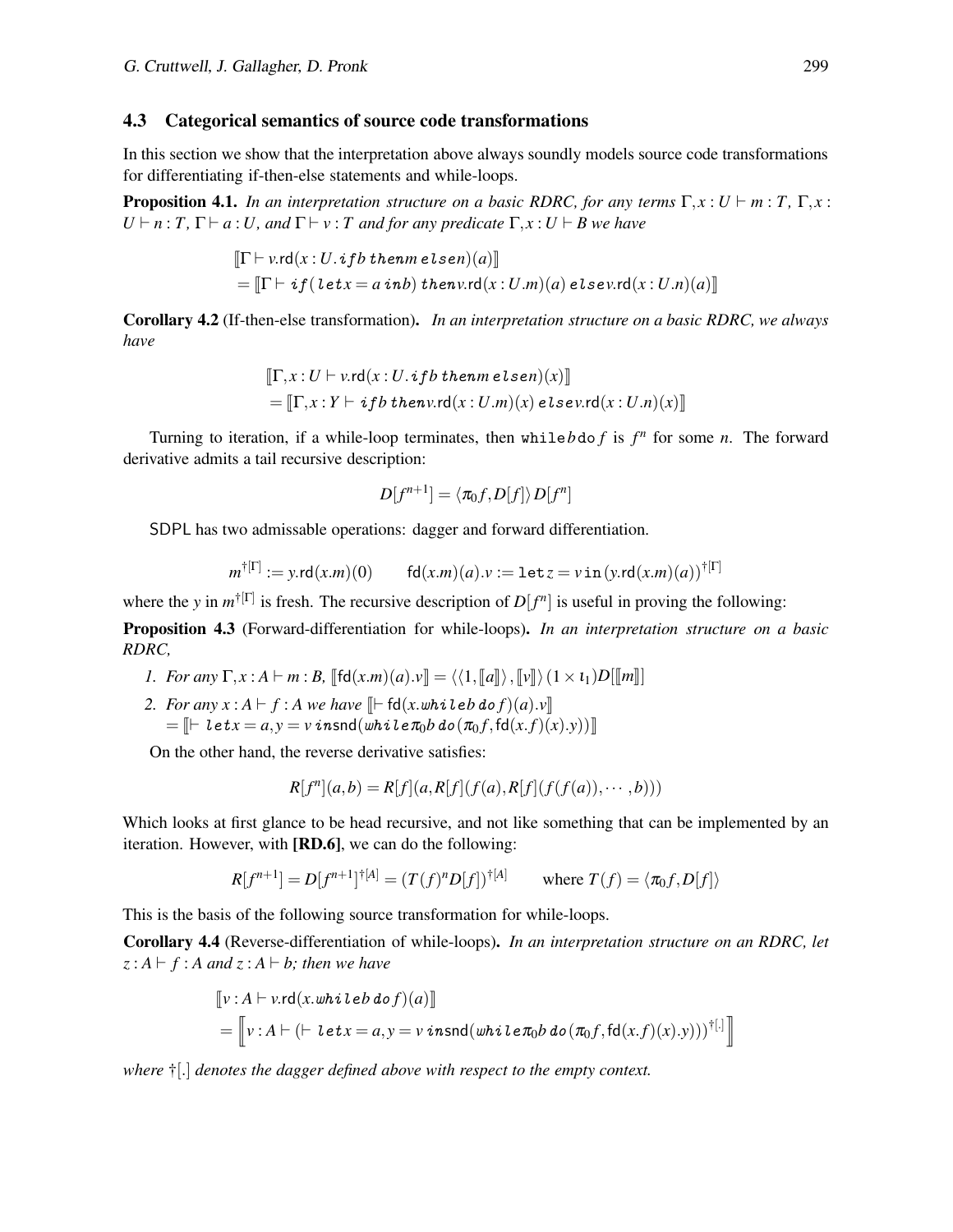#### <span id="page-10-0"></span>4.3 Categorical semantics of source code transformations

In this section we show that the interpretation above always soundly models source code transformations for differentiating if-then-else statements and while-loops.

**Proposition 4.1.** *In an interpretation structure on a basic RDRC, for any terms*  $\Gamma, x : U \vdash m : T, \Gamma, x :$  $U \vdash n : T, \Gamma \vdash a : U$ , and  $\Gamma \vdash v : T$  and for any predicate  $\Gamma, x : U \vdash B$  we have

$$
\begin{aligned} &\left[\Gamma \vdash v.\mathsf{rd}(x:U.\mathit{if}b\mathit{themm\,elsen})(a)\right] \\ &= \left[\Gamma \vdash \mathit{if}(\mathit{let}x = a\mathit{inb})\mathit{then}v.\mathsf{rd}(x:U.m)(a)\mathit{else}v.\mathsf{rd}(x:U.n)(a)\right]\end{aligned}
$$

Corollary 4.2 (If-then-else transformation). *In an interpretation structure on a basic RDRC, we always have*

$$
\llbracket \Gamma, x : U \vdash v.\mathsf{rd}(x : U.\mathsf{if}b\mathsf{then}m\mathsf{else}n)(x) \rrbracket
$$

$$
= \llbracket \Gamma, x : Y \vdash \mathsf{if}b\mathsf{then}v.\mathsf{rd}(x : U.m)(x)\mathsf{else}v.\mathsf{rd}(x : U.n)(x) \rrbracket
$$

Turning to iteration, if a while-loop terminates, then while  $b$  do  $f$  is  $f^n$  for some  $n$ . The forward derivative admits a tail recursive description:

$$
D[f^{n+1}] = \langle \pi_0 f, D[f] \rangle D[f^n]
$$

SDPL has two admissable operations: dagger and forward differentiation.

$$
m^{\dagger[\Gamma]} := y \cdot \text{rd}(x.m)(0) \qquad \text{fd}(x.m)(a) \cdot \nu := \texttt{let} \, z = v \, \texttt{in} \, (y \cdot \text{rd}(x.m)(a))^{\dagger[\Gamma]}
$$

where the *y* in  $m^{\dagger}[\Gamma]$  is fresh. The recursive description of  $D[f^n]$  is useful in proving the following:

Proposition 4.3 (Forward-differentiation for while-loops). *In an interpretation structure on a basic RDRC,*

- *1. For any*  $\Gamma, x : A \vdash m : B$ ,  $\lbrack \lbrack \mathsf{fd}(x.m)(a).y \rbrack = \langle \langle 1, \lbrack \lbrack a \rbrack \rangle, \lbrack \lbrack y \rbrack \rangle \langle 1 \times \mathfrak{t}_1 \rangle D[\lbrack \lbrack m \rbrack \rbrack]$
- *2. For any x* : *A*  $\vdash$  *f* : *A we have*  $\mathbb{F}$  fd(*x*.whileb do *f*)(*a*).*v* $\mathbb{F}$  $=\mathbb{F} \left[ \left| \det(z) - \det(z) \right| \leq \limsup(z) \cdot \sin \left( \frac{\partial z}{\partial x} \right) \cdot \sin \left( \frac{\partial z}{\partial y} \right) \cdot \sin \left( \frac{\partial z}{\partial y} \right) \cdot \sin \left( \frac{\partial z}{\partial x} \right) \cdot \sin \left( \frac{\partial z}{\partial y} \right) \cdot \sin \left( \frac{\partial z}{\partial y} \right) \cdot \sin \left( \frac{\partial z}{\partial y} \right) \cdot \sin \left( \frac{\partial z}{\partial y} \right) \cdot \sin \left( \frac{\partial z}{\partial y} \right) \cdot \sin \left( \$

On the other hand, the reverse derivative satisfies:

$$
R[f^{n}](a,b) = R[f](a,R[f](f(a),R[f](f(f(a)),\cdots,b)))
$$

Which looks at first glance to be head recursive, and not like something that can be implemented by an iteration. However, with [RD.6], we can do the following:

$$
R[f^{n+1}] = D[f^{n+1}]^{\dagger[A]} = (T(f)^n D[f])^{\dagger[A]}
$$
 where  $T(f) = \langle \pi_0 f, D[f] \rangle$ 

This is the basis of the following source transformation for while-loops.

Corollary 4.4 (Reverse-differentiation of while-loops). *In an interpretation structure on an RDRC, let*  $z : A \vdash f : A$  and  $z : A \vdash b$ ; then we have

$$
\begin{aligned} &\mathbb{[}\nu\colon A\vdash \nu.\mathsf{rd}(x.\mathit{whileb}\,\mathit{dof})(a)\mathbb{]}\nonumber\\ &=\left[\!\!\left[\nu\colon\! A\vdash (\vdash\mathit{let}x=a,y=v\,\mathit{insnd}(\mathit{while}\,\pi_0\mathit{b}\,\mathit{do}\,(\pi_0f,\mathit{fd}(x.f)(x).y)))^{\dagger[\cdot]}\right]\!\!\right] \end{aligned}
$$

*where* †[.] *denotes the dagger defined above with respect to the empty context.*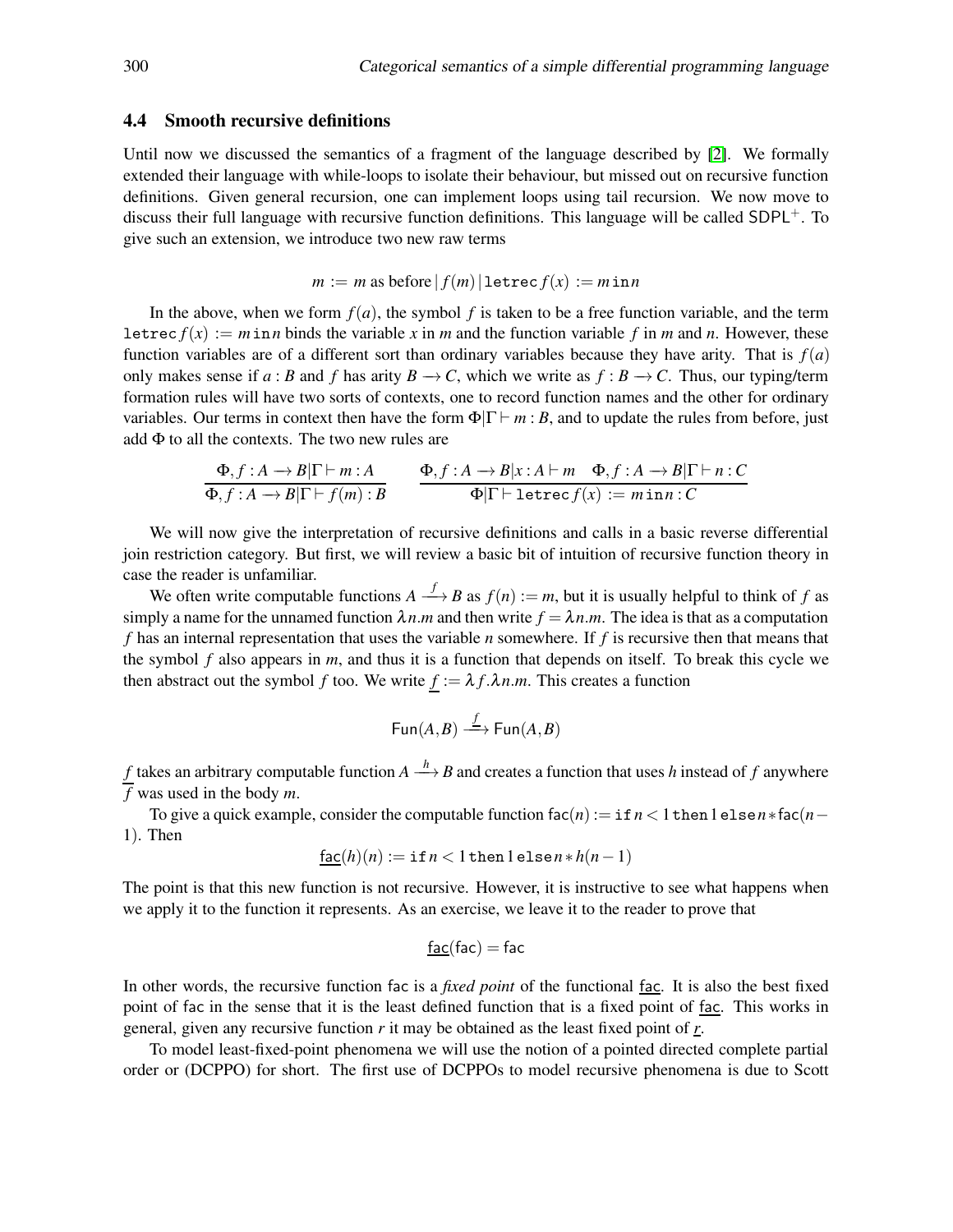#### 4.4 Smooth recursive definitions

Until now we discussed the semantics of a fragment of the language described by [\[2\]](#page-19-1). We formally extended their language with while-loops to isolate their behaviour, but missed out on recursive function definitions. Given general recursion, one can implement loops using tail recursion. We now move to discuss their full language with recursive function definitions. This language will be called  $SDPL^+$ . To give such an extension, we introduce two new raw terms

$$
m := m
$$
 as before  $|f(m)|$   $letrec f(x) := min n$ 

In the above, when we form  $f(a)$ , the symbol  $f$  is taken to be a free function variable, and the term letrec  $f(x) := m \text{ in } n$  binds the variable x in m and the function variable f in m and n. However, these function variables are of a different sort than ordinary variables because they have arity. That is  $f(a)$ only makes sense if *a* : *B* and *f* has arity  $B \to C$ , which we write as  $f : B \to C$ . Thus, our typing/term formation rules will have two sorts of contexts, one to record function names and the other for ordinary variables. Our terms in context then have the form  $\Phi|\Gamma \vdash m : B$ , and to update the rules from before, just add  $\Phi$  to all the contexts. The two new rules are

$$
\frac{\Phi, f: A \to B|\Gamma \vdash m: A}{\Phi, f: A \to B|\Gamma \vdash f(m): B} \qquad \frac{\Phi, f: A \to B|x: A \vdash m \quad \Phi, f: A \to B|\Gamma \vdash n: C}{\Phi|\Gamma \vdash \text{letrec}(f(x)) := m \text{ in } n: C}
$$

We will now give the interpretation of recursive definitions and calls in a basic reverse differential join restriction category. But first, we will review a basic bit of intuition of recursive function theory in case the reader is unfamiliar.

We often write computable functions  $A \stackrel{f}{\longrightarrow} B$  as  $f(n) := m$ , but it is usually helpful to think of f as simply a name for the unnamed function  $\lambda n$ *m* and then write  $f = \lambda n$ *m*. The idea is that as a computation *f* has an internal representation that uses the variable *n* somewhere. If *f* is recursive then that means that the symbol *f* also appears in *m*, and thus it is a function that depends on itself. To break this cycle we then abstract out the symbol *f* too. We write  $f := \lambda f \cdot \lambda n \cdot m$ . This creates a function

$$
\operatorname{\mathsf{Fun}}(A,B)\stackrel{f}{\longrightarrow} \operatorname{\mathsf{Fun}}(A,B)
$$

*f* takes an arbitrary computable function  $A \stackrel{h}{\longrightarrow} B$  and creates a function that uses *h* instead of *f* anywhere *f* was used in the body *m*.

To give a quick example, consider the computable function  $fac(n) := if n < 1$  then  $1 \text{ else } n * fac(n-$ 1). Then

$$
\underline{\mathsf{fac}}(h)(n) := \mathtt{if} \, n < 1 \, \mathtt{then} \, 1 \, \mathtt{else} \, n * h(n-1)
$$

The point is that this new function is not recursive. However, it is instructive to see what happens when we apply it to the function it represents. As an exercise, we leave it to the reader to prove that

$$
\underline{\mathsf{fac}}(\mathsf{fac}) = \mathsf{fac}
$$

In other words, the recursive function fac is a *fixed point* of the functional fac. It is also the best fixed point of fac in the sense that it is the least defined function that is a fixed point of fac. This works in general, given any recursive function *r* it may be obtained as the least fixed point of *r*.

To model least-fixed-point phenomena we will use the notion of a pointed directed complete partial order or (DCPPO) for short. The first use of DCPPOs to model recursive phenomena is due to Scott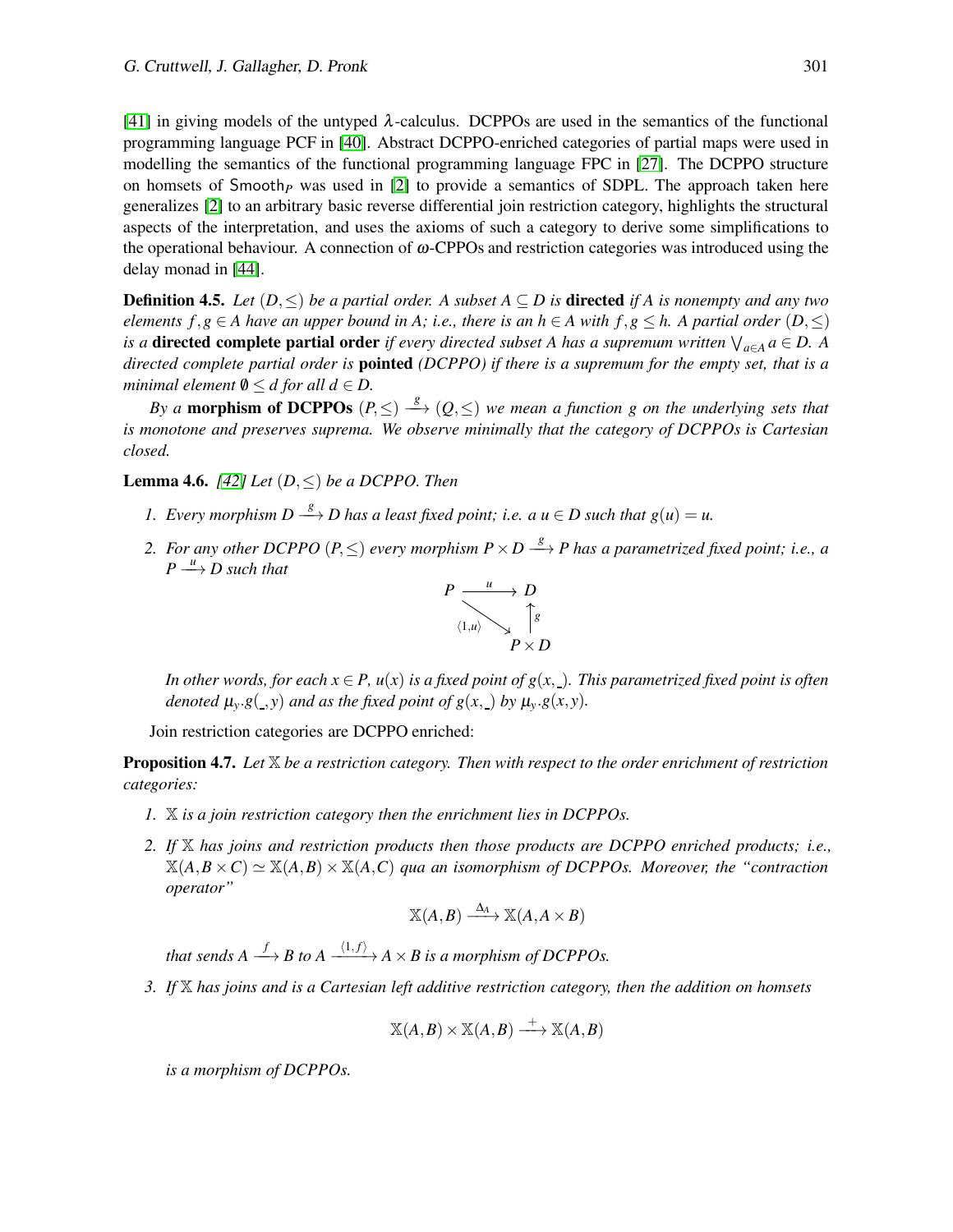[\[41\]](#page-20-17) in giving models of the untyped  $\lambda$ -calculus. DCPPOs are used in the semantics of the functional programming language PCF in [\[40\]](#page-20-18). Abstract DCPPO-enriched categories of partial maps were used in modelling the semantics of the functional programming language FPC in [\[27\]](#page-20-19). The DCPPO structure on homsets of Smooth*<sup>P</sup>* was used in [\[2\]](#page-19-1) to provide a semantics of SDPL. The approach taken here generalizes [\[2\]](#page-19-1) to an arbitrary basic reverse differential join restriction category, highlights the structural aspects of the interpretation, and uses the axioms of such a category to derive some simplifications to the operational behaviour. A connection of  $\omega$ -CPPOs and restriction categories was introduced using the delay monad in [\[44\]](#page-21-3).

**Definition 4.5.** *Let*  $(D, \leq)$  *be a partial order. A subset*  $A \subseteq D$  *is* **directed** *if* A *is nonempty and any two elements*  $f, g \in A$  have an upper bound in A; i.e., there is an  $h \in A$  with  $f, g \leq h$ . A partial order  $(D, \leq)$ *is a* **directed complete partial order** if every directed subset A has a supremum written  $\bigvee_{a \in A} a \in D$ . A *directed complete partial order is* pointed *(DCPPO) if there is a supremum for the empty set, that is a minimal element*  $\emptyset \leq d$  *for all*  $d \in D$ .

*By a* morphism of DCPPOs  $(P, \leq) \stackrel{g}{\longrightarrow} (Q, \leq)$  we mean a function g on the underlying sets that *is monotone and preserves suprema. We observe minimally that the category of DCPPOs is Cartesian closed.*

<span id="page-12-1"></span>Lemma 4.6. *[\[42\]](#page-20-20) Let* (*D*,≤) *be a DCPPO. Then*

- *1.* Every morphism  $D \stackrel{g}{\longrightarrow} D$  has a least fixed point; i.e. a  $u \in D$  such that  $g(u) = u$ .
- 2. For any other DCPPO  $(P, \leq)$  every morphism  $P \times D \stackrel{g}{\longrightarrow} P$  has a parametrized fixed point; i.e., a  $P \stackrel{u}{\longrightarrow} D$  such that



*In other words, for each*  $x \in P$ ,  $u(x)$  *is a fixed point of g(x,). This parametrized fixed point is often denoted*  $\mu_v$ *.g*(*\_,y*) *and as the fixed point of g*(*x, \_) by*  $\mu_v$ *.g*(*x,y*)*.* 

Join restriction categories are DCPPO enriched:

<span id="page-12-0"></span>Proposition 4.7. *Let* X *be a restriction category. Then with respect to the order enrichment of restriction categories:*

- *1.* X *is a join restriction category then the enrichment lies in DCPPOs.*
- *2. If* X *has joins and restriction products then those products are DCPPO enriched products; i.e.,*  $\mathbb{X}(A,B\times C) \simeq \mathbb{X}(A,B)\times \mathbb{X}(A,C)$  *qua an isomorphism of DCPPOs. Moreover, the "contraction*" *operator"*

$$
\mathbb{X}(A,B) \xrightarrow{\Delta_A} \mathbb{X}(A,A \times B)
$$

*that sends A*  $\stackrel{f}{\longrightarrow}$  *B to A*  $\stackrel{\langle 1,f\rangle}{\longrightarrow}$  *A*  $\times$  *B is a morphism of DCPPOs.* 

*3. If* X *has joins and is a Cartesian left additive restriction category, then the addition on homsets*

$$
\mathbb{X}(A,B) \times \mathbb{X}(A,B) \xrightarrow{+} \mathbb{X}(A,B)
$$

*is a morphism of DCPPOs.*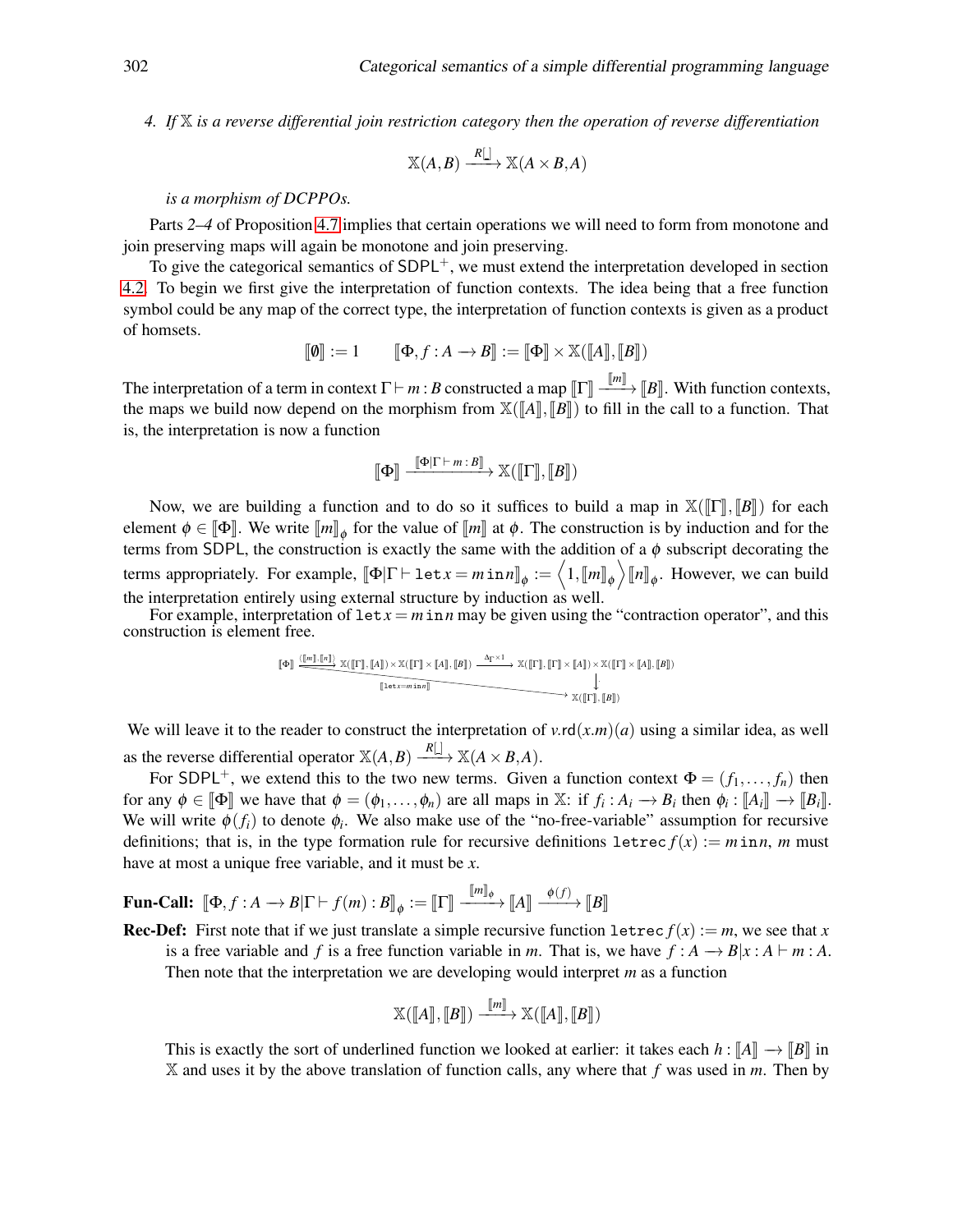*4. If* X *is a reverse differential join restriction category then the operation of reverse differentiation*

$$
\mathbb{X}(A,B) \xrightarrow{R[\underline{.}]} \mathbb{X}(A \times B,A)
$$

#### *is a morphism of DCPPOs.*

Parts *2*–*4* of Proposition [4.7](#page-12-0) implies that certain operations we will need to form from monotone and join preserving maps will again be monotone and join preserving.

To give the categorical semantics of  $SDPL^+$ , we must extend the interpretation developed in section [4.2.](#page-8-0) To begin we first give the interpretation of function contexts. The idea being that a free function symbol could be any map of the correct type, the interpretation of function contexts is given as a product of homsets.

$$
[\![\boldsymbol\Phi]\!]:=1 \qquad [\![\boldsymbol\Phi,f:A\rightarrow B]\!]:=[\![\boldsymbol\Phi]\!] \times \mathbb{X}([\![A]\!],[\![B]\!])
$$

The interpretation of a term in context  $\Gamma \vdash m : B$  constructed a map  $\llbracket \Gamma \rrbracket = \mathbb{F}^m$ ,  $\llbracket B \rrbracket$ . With function contexts, the maps we build now depend on the morphism from  $\mathbb{X}(\llbracket A \rrbracket, \llbracket B \rrbracket)$  to fill in the call to a function. That is, the interpretation is now a function

$$
[\![\Phi]\!]\xrightarrow{[\![\Phi]\Gamma\vdash m:B]\!]} \mathbb{X}([\![\Gamma]\!], [\![B]\!])
$$

Now, we are building a function and to do so it suffices to build a map in  $\mathbb{X}(\llbracket \Gamma \rrbracket, \llbracket B \rrbracket)$  for each element  $\phi \in [\![\Phi]\!]$ . We write  $[\![m]\!]_\phi$  for the value of  $[\![m]\!]$  at  $\phi$ . The construction is by induction and for the terms from SDPL, the construction is exactly the same with the addition of a  $\phi$  subscript decorating the terms appropriately. For example,  $[\![\Phi]\Gamma\vdash \texttt{let} x = m \texttt{in} n]\!]_{\phi} := \left\langle 1, [\![m]\!]_{\phi} \right\rangle [\![n]\!]_{\phi}$ . However, we can build the interpretation entirely using external structure by induction as well.

For example, interpretation of  $\text{let } x = m \text{ in } n$  may be given using the "contraction operator", and this construction is element free.

$$
\begin{array}{c}\n\left[\Phi\right] \xrightarrow{\langle [\![m]\!], [\![n]\!]\rangle} \mathbb{X}([\![\Gamma]\!], [\![A]\!]) \times \mathbb{X}([\![\Gamma]\!]\times [\![A]\!], [\![B]\!]) \xrightarrow{\Delta_\Gamma \times 1} \mathbb{X}([\![\Gamma]\!], [\![\Gamma]\!]\times [\![A]\!]) \times \mathbb{X}([\![\Gamma]\!]\times [\![A]\!], [\![B]\!])\\ \downarrow \xrightarrow{\langle [\![\Gamma]\!], [\![B]\!]\rangle}\mathbb{X}([\![\Gamma]\!], [\![B]\!])\n\end{array}
$$

We will leave it to the reader to construct the interpretation of  $v \cdot r d(x.m)(a)$  using a similar idea, as well as the reverse differential operator  $\mathbb{X}(A, B) \xrightarrow{R[\ ]} \mathbb{X}(A \times B, A)$ .

For SDPL<sup>+</sup>, we extend this to the two new terms. Given a function context  $\Phi = (f_1, \ldots, f_n)$  then for any  $\phi \in [\![\Phi]\!]$  we have that  $\phi = (\phi_1, \dots, \phi_n)$  are all maps in X: if  $f_i : A_i \to B_i$  then  $\phi_i : [A_i] \to [B_i]$ . We will write  $\phi(f_i)$  to denote  $\phi_i$ . We also make use of the "no-free-variable" assumption for recursive definitions; that is, in the type formation rule for recursive definitions  $l$  etrec  $f(x) := m \text{ in } n$ , *m* must have at most a unique free variable, and it must be *x*.

**Fun-Call:**  $[\![\Phi, f : A \rightarrow B | \Gamma \vdash f(m) : B]\!]_{\phi} := [\![\Gamma]\!] \xrightarrow{[\![m]\!]_{\phi}} [\![A]\!] \xrightarrow{\phi(f)} [\![B]\!]$ 

**Rec-Def:** First note that if we just translate a simple recursive function  $l$  etrec  $f(x) := m$ , we see that *x* is a free variable and *f* is a free function variable in *m*. That is, we have  $f : A \rightarrow B | x : A \vdash m : A$ . Then note that the interpretation we are developing would interpret *m* as a function

$$
\mathbb{X}(\llbracket A \rrbracket, \llbracket B \rrbracket) \xrightarrow{\llbracket m \rrbracket} \mathbb{X}(\llbracket A \rrbracket, \llbracket B \rrbracket)
$$

This is exactly the sort of underlined function we looked at earlier: it takes each  $h : [A] \rightarrow [B]$  in X and uses it by the above translation of function calls, any where that *f* was used in *m*. Then by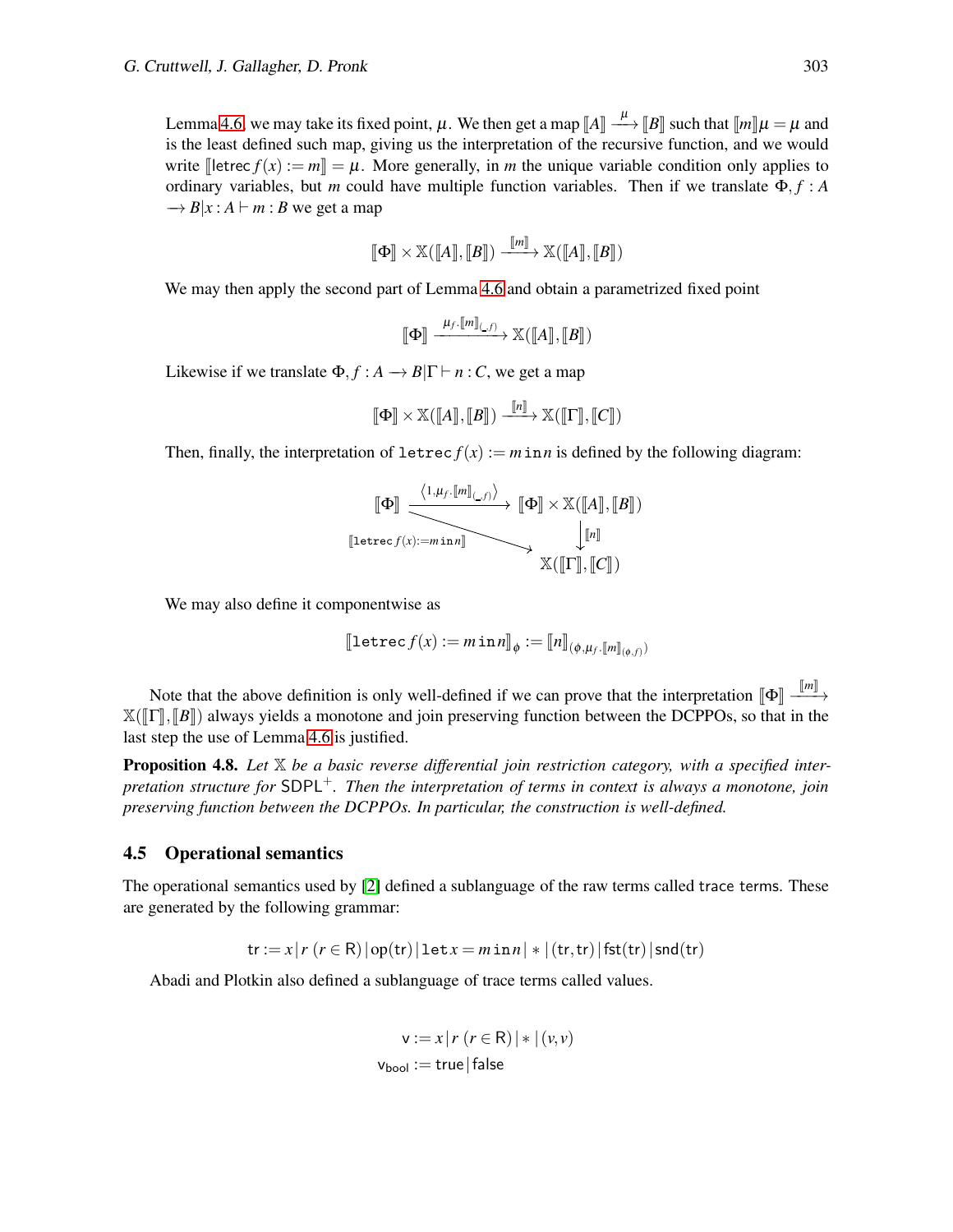Lemma [4.6,](#page-12-1) we may take its fixed point,  $\mu$ . We then get a map  $\llbracket A \rrbracket \xrightarrow{\mu} \llbracket B \rrbracket$  such that  $\llbracket m \rrbracket \mu = \mu$  and is the least defined such map, giving us the interpretation of the recursive function, and we would write  $\exists$  letrec  $f(x) := m\Vert = \mu$ . More generally, in *m* the unique variable condition only applies to ordinary variables, but *m* could have multiple function variables. Then if we translate  $\Phi$ , *f* : *A*  $\rightarrow$  *B*| $x : A \vdash m : B$  we get a map

$$
\llbracket \Phi \rrbracket \times \mathbb{X}(\llbracket A \rrbracket, \llbracket B \rrbracket) \xrightarrow{\llbracket m \rrbracket} \mathbb{X}(\llbracket A \rrbracket, \llbracket B \rrbracket)
$$

We may then apply the second part of Lemma [4.6](#page-12-1) and obtain a parametrized fixed point

$$
\llbracket \Phi \rrbracket \xrightarrow{\mu_f \cdot \llbracket m \rrbracket_{\left(\cdot, f\right)}} \mathbb{X}(\llbracket A \rrbracket, \llbracket B \rrbracket)
$$

Likewise if we translate  $\Phi$ ,  $f : A \rightarrow B|\Gamma \vdash n : C$ , we get a map

$$
\llbracket \Phi \rrbracket \times \mathbb{X}(\llbracket A \rrbracket, \llbracket B \rrbracket) \xrightarrow{\llbracket n \rrbracket} \mathbb{X}(\llbracket \Gamma \rrbracket, \llbracket C \rrbracket)
$$

Then, finally, the interpretation of  $\text{letrec } f(x) := m \text{ in } n$  is defined by the following diagram:

$$
\begin{array}{c}\n[\![\Phi]\!] & \xrightarrow{\langle 1,\mu_f,[\![m]\!]_{\langle \_,f\rangle}\rangle} \begin{array}{c}\n[\![\Phi]\!] \times \mathbb{X}([\![A]\!],[\![B]\!]) \\
[\![\text{letrec}(f(x) := min n]\!] & \downarrow \begin{array}{c}\n[\![n]\!] \\
\mathbb{X}([\![\Gamma]\!],[\![C]\!])\n\end{array}\n\end{array}
$$

We may also define it componentwise as

$$
[\![\texttt{letrec}\, f(x) := m\,\texttt{in}\, n]\!]_\phi := [\![n]\!]_{(\phi,\mu_f,[\![m]\!])_{(\phi,f)}}
$$

Note that the above definition is only well-defined if we can prove that the interpretation  $\llbracket \Phi \rrbracket$   $\frac{\llbracket m \rrbracket}{\llbracket m \rrbracket}$  $\mathbb{X}([\![\Gamma]\!], [\![B]\!])$  always yields a monotone and join preserving function between the DCPPOs, so that in the last step the use of Lemma [4.6](#page-12-1) is justified.

Proposition 4.8. *Let* X *be a basic reverse differential join restriction category, with a specified interpretation structure for* SDPL+*. Then the interpretation of terms in context is always a monotone, join preserving function between the DCPPOs. In particular, the construction is well-defined.*

#### 4.5 Operational semantics

The operational semantics used by [\[2\]](#page-19-1) defined a sublanguage of the raw terms called trace terms. These are generated by the following grammar:

$$
\text{tr} := x \, | \, r \, (r \in \mathsf{R}) \, | \, \text{opt}(r) \, | \, \text{let } x = m \, \text{in} \, n \, | \, * \, | \, (\text{tr}, \text{tr}) \, | \, \text{fst}(\text{tr}) \, | \, \text{snd}(\text{tr})
$$

Abadi and Plotkin also defined a sublanguage of trace terms called values.

$$
v := x | r (r \in R) | * | (v, v)
$$
  

$$
v_{bool} := true | false
$$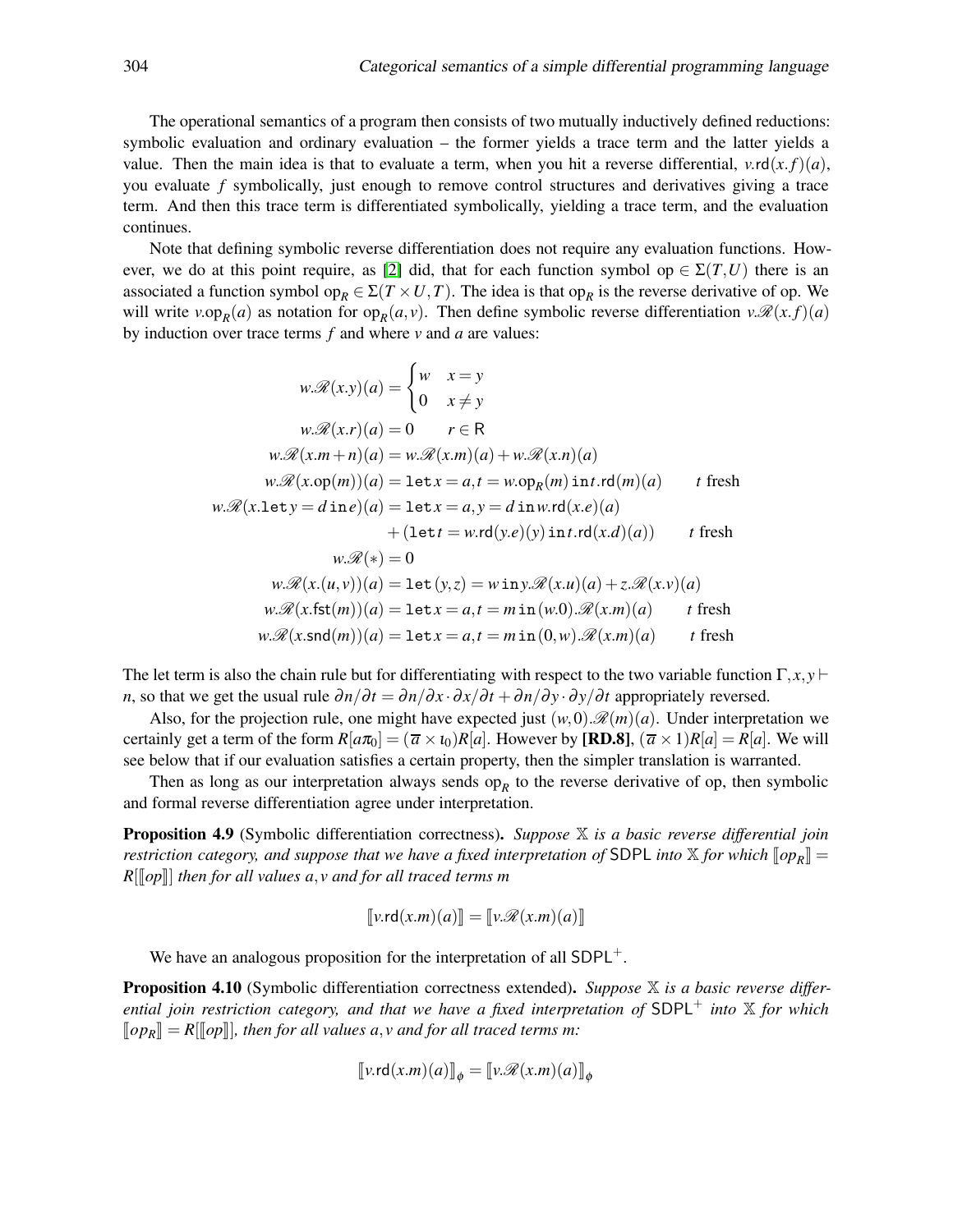The operational semantics of a program then consists of two mutually inductively defined reductions: symbolic evaluation and ordinary evaluation – the former yields a trace term and the latter yields a value. Then the main idea is that to evaluate a term, when you hit a reverse differential,  $v \cdot r d(x, f)(a)$ , you evaluate *f* symbolically, just enough to remove control structures and derivatives giving a trace term. And then this trace term is differentiated symbolically, yielding a trace term, and the evaluation continues.

Note that defining symbolic reverse differentiation does not require any evaluation functions. How-ever, we do at this point require, as [\[2\]](#page-19-1) did, that for each function symbol op  $\in \Sigma(T,U)$  there is an associated a function symbol op<sub>R</sub>  $\in \Sigma(T \times U, T)$ . The idea is that op<sub>R</sub> is the reverse derivative of op. We will write  $v.\text{op}_R(a)$  as notation for  $\text{op}_R(a, v)$ . Then define symbolic reverse differentiation  $v.\mathcal{R}(x.f)(a)$ by induction over trace terms *f* and where *v* and *a* are values:

$$
w.\mathcal{R}(x.y)(a) = \begin{cases} w & x = y \\ 0 & x \neq y \end{cases}
$$
  
\n
$$
w.\mathcal{R}(x.r)(a) = 0 \qquad r \in \mathbb{R}
$$
  
\n
$$
w.\mathcal{R}(x.m+n)(a) = w.\mathcal{R}(x.m)(a) + w.\mathcal{R}(x.n)(a)
$$
  
\n
$$
w.\mathcal{R}(x.\text{op}(m))(a) = \text{let } x = a, t = w.\text{op}_R(m)\text{ int }.\text{rd}(m)(a) \qquad t \text{ fresh}
$$
  
\n
$$
w.\mathcal{R}(x.\text{let } y = d \text{ in } e)(a) = \text{let } x = a, y = d \text{ in } w.\text{rd}(x.e)(a)
$$
  
\n
$$
+ (\text{let } t = w.\text{rd}(y.e)(y)\text{ in } t.\text{rd}(x.d)(a)) \qquad t \text{ fresh}
$$
  
\n
$$
w.\mathcal{R}(x) = 0
$$
  
\n
$$
w.\mathcal{R}(x.(u, v))(a) = \text{let } (y, z) = w \text{ in } y.\mathcal{R}(x.u)(a) + z.\mathcal{R}(x.v)(a)
$$
  
\n
$$
w.\mathcal{R}(x.\text{fst}(m))(a) = \text{let } x = a, t = m \text{ in } (w.0).\mathcal{R}(x.m)(a) \qquad t \text{ fresh}
$$
  
\n
$$
w.\mathcal{R}(x.\text{snd}(m))(a) = \text{let } x = a, t = m \text{ in } (0,w).\mathcal{R}(x.m)(a) \qquad t \text{ fresh}
$$

The let term is also the chain rule but for differentiating with respect to the two variable function  $\Gamma, x, y \vdash$ *n*, so that we get the usual rule  $\partial n/\partial t = \partial n/\partial x \cdot \partial x/\partial t + \partial n/\partial y \cdot \partial y/\partial t$  appropriately reversed.

Also, for the projection rule, one might have expected just  $(w,0) \mathcal{R}(m)(a)$ . Under interpretation we certainly get a term of the form  $R[a\pi_0] = (\overline{a} \times a_0)R[a]$ . However by [**RD.8**],  $(\overline{a} \times 1)R[a] = R[a]$ . We will see below that if our evaluation satisfies a certain property, then the simpler translation is warranted.

Then as long as our interpretation always sends  $op<sub>R</sub>$  to the reverse derivative of  $op$ , then symbolic and formal reverse differentiation agree under interpretation.

<span id="page-15-0"></span>Proposition 4.9 (Symbolic differentiation correctness). *Suppose* X *is a basic reverse differential join restriction category, and suppose that we have a fixed interpretation of* SDPL *into*  $\mathbb{X}$  *for which*  $[\![op_R]\!] =$ *R*[ $\lVert op \rVert$ ] *then for all values a,v and for all traced terms m* 

$$
[\![\mathbf{v}.\mathsf{rd}(x.m)(a)]\!] = [\![\mathbf{v}.\mathscr{R}(x.m)(a)]\!]
$$

We have an analogous proposition for the interpretation of all  $SDPL<sup>+</sup>$ .

<span id="page-15-1"></span>Proposition 4.10 (Symbolic differentiation correctness extended). *Suppose* X *is a basic reverse differential join restriction category, and that we have a fixed interpretation of* SDPL<sup>+</sup> *into* X *for which*  $[op_R] = R[[op]],$  then for all values a, *v* and for all traced terms m:

$$
\llbracket v.\mathsf{rd}(x.m)(a) \rrbracket_{\phi} = \llbracket v.\mathscr{R}(x.m)(a) \rrbracket_{\phi}
$$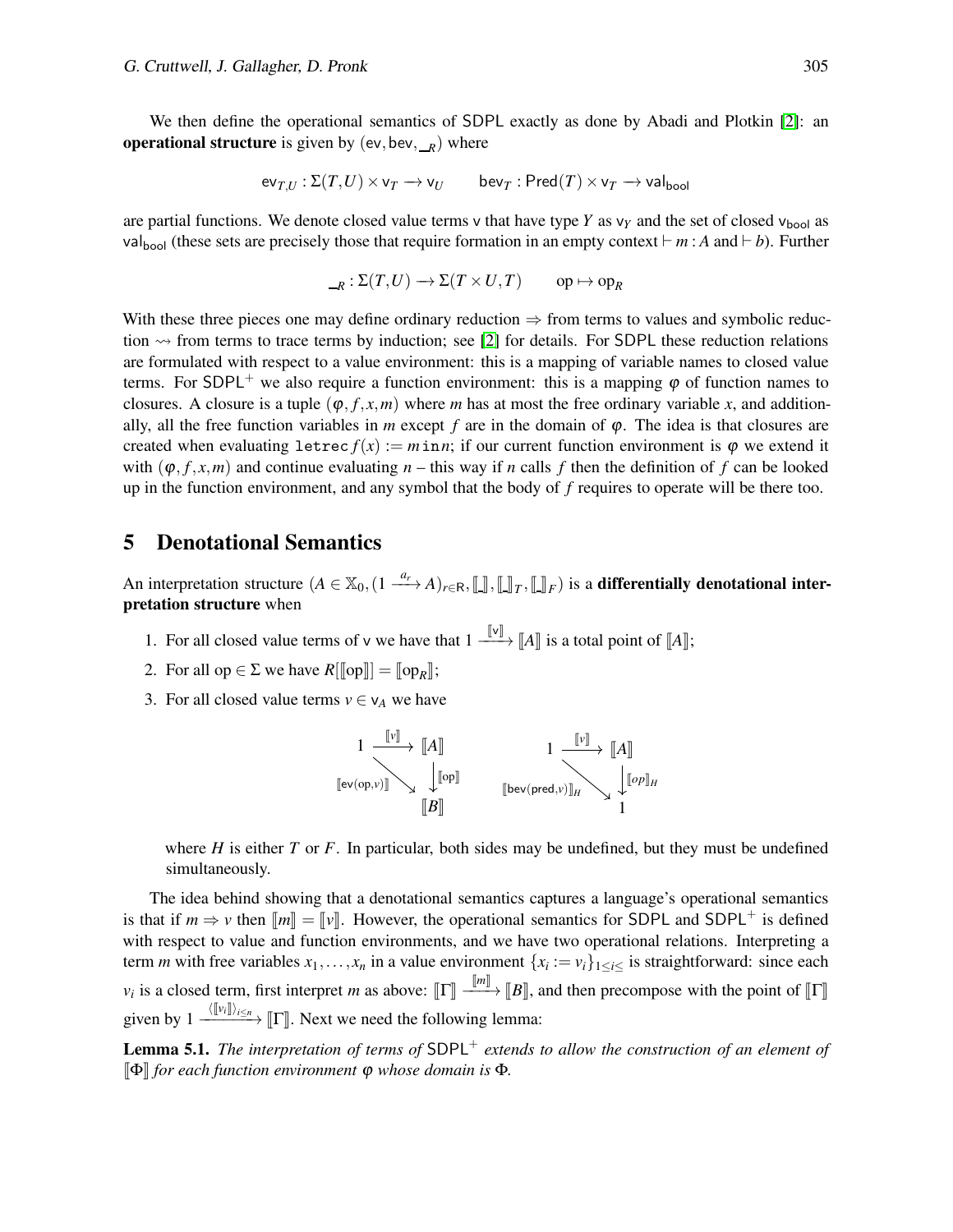We then define the operational semantics of SDPL exactly as done by Abadi and Plotkin [\[2\]](#page-19-1): an operational structure is given by  $(ev, bev, \_R)$  where

$$
\text{ev}_{T,U} : \Sigma(T,U) \times \text{v}_T \longrightarrow \text{v}_U \qquad \text{bev}_T : \text{Pred}(T) \times \text{v}_T \longrightarrow \text{val}_{\text{bool}}
$$

are partial functions. We denote closed value terms  $v$  that have type  $Y$  as  $v_Y$  and the set of closed  $v_{\text{bool}}$  as valbool (these sets are precisely those that require formation in an empty context ⊢ *m* : *A* and ⊢ *b*). Further

$$
{}_{-R}:\Sigma(T,U)\to\Sigma(T\times U,T)\qquad\text{op}\mapsto\text{op}_R
$$

With these three pieces one may define ordinary reduction  $\Rightarrow$  from terms to values and symbolic reduction  $\sim$  from terms to trace terms by induction; see [\[2\]](#page-19-1) for details. For SDPL these reduction relations are formulated with respect to a value environment: this is a mapping of variable names to closed value terms. For SDPL<sup>+</sup> we also require a function environment: this is a mapping  $\varphi$  of function names to closures. A closure is a tuple  $(\varphi, f, x, m)$  where *m* has at most the free ordinary variable *x*, and additionally, all the free function variables in *m* except *f* are in the domain of  $\varphi$ . The idea is that closures are created when evaluating letrec  $f(x) := m \text{ in } n$ ; if our current function environment is  $\varphi$  we extend it with  $(\varphi, f, x, m)$  and continue evaluating  $n -$  this way if *n* calls *f* then the definition of *f* can be looked up in the function environment, and any symbol that the body of *f* requires to operate will be there too.

# 5 Denotational Semantics

An interpretation structure  $(A \in X_0, (1 \stackrel{a_r}{\longrightarrow} A)_{r \in R}, \llbracket \cdot \rrbracket_r, \llbracket \cdot \rrbracket_r)$  is a **differentially denotational inter**pretation structure when

- 1. For all closed value terms of v we have that  $1 \xrightarrow{\llbracket \vee \rrbracket} \llbracket A \rrbracket$  is a total point of  $\llbracket A \rrbracket$ ;
- 2. For all op  $\in \Sigma$  we have  $R[[op]] = [op_R];$
- 3. For all closed value terms  $v \in v_A$  we have

$$
\begin{array}{ccc}\n1 & \xrightarrow{\llbracket \mathbf{v} \rrbracket} & \llbracket A \rrbracket & & 1 \xrightarrow{\llbracket \mathbf{v} \rrbracket} & \llbracket A \rrbracket \\
\downarrow \text{[op]} & & \\
\llbracket \mathbf{ev}(\mathsf{op}, \mathbf{v}) \rrbracket_{H} & & \downarrow \llbracket \mathsf{op} \rrbracket_{H} \\
\llbracket B \rrbracket & & 1\n\end{array}
$$

where *H* is either *T* or *F*. In particular, both sides may be undefined, but they must be undefined simultaneously.

The idea behind showing that a denotational semantics captures a language's operational semantics is that if  $m \Rightarrow v$  then  $\llbracket m \rrbracket = \llbracket v \rrbracket$ . However, the operational semantics for SDPL and SDPL<sup>+</sup> is defined with respect to value and function environments, and we have two operational relations. Interpreting a term *m* with free variables  $x_1, \ldots, x_n$  in a value environment  $\{x_i := v_i\}_{1 \le i \le i}$  is straightforward: since each *v<sub>i</sub>* is a closed term, first interpret *m* as above:  $\llbracket \Gamma \rrbracket \xrightarrow{[m]} \llbracket B \rrbracket$ , and then precompose with the point of  $\llbracket \Gamma \rrbracket$ given by  $1 \xrightarrow{\langle [\![v_i]\!] \rangle_{i \leq n}} [\![\Gamma]\!]$ . Next we need the following lemma:

Lemma 5.1. *The interpretation of terms of* SDPL<sup>+</sup> *extends to allow the construction of an element of* <sup>J</sup>Φ<sup>K</sup> *for each function environment* <sup>ϕ</sup> *whose domain is* <sup>Φ</sup>*.*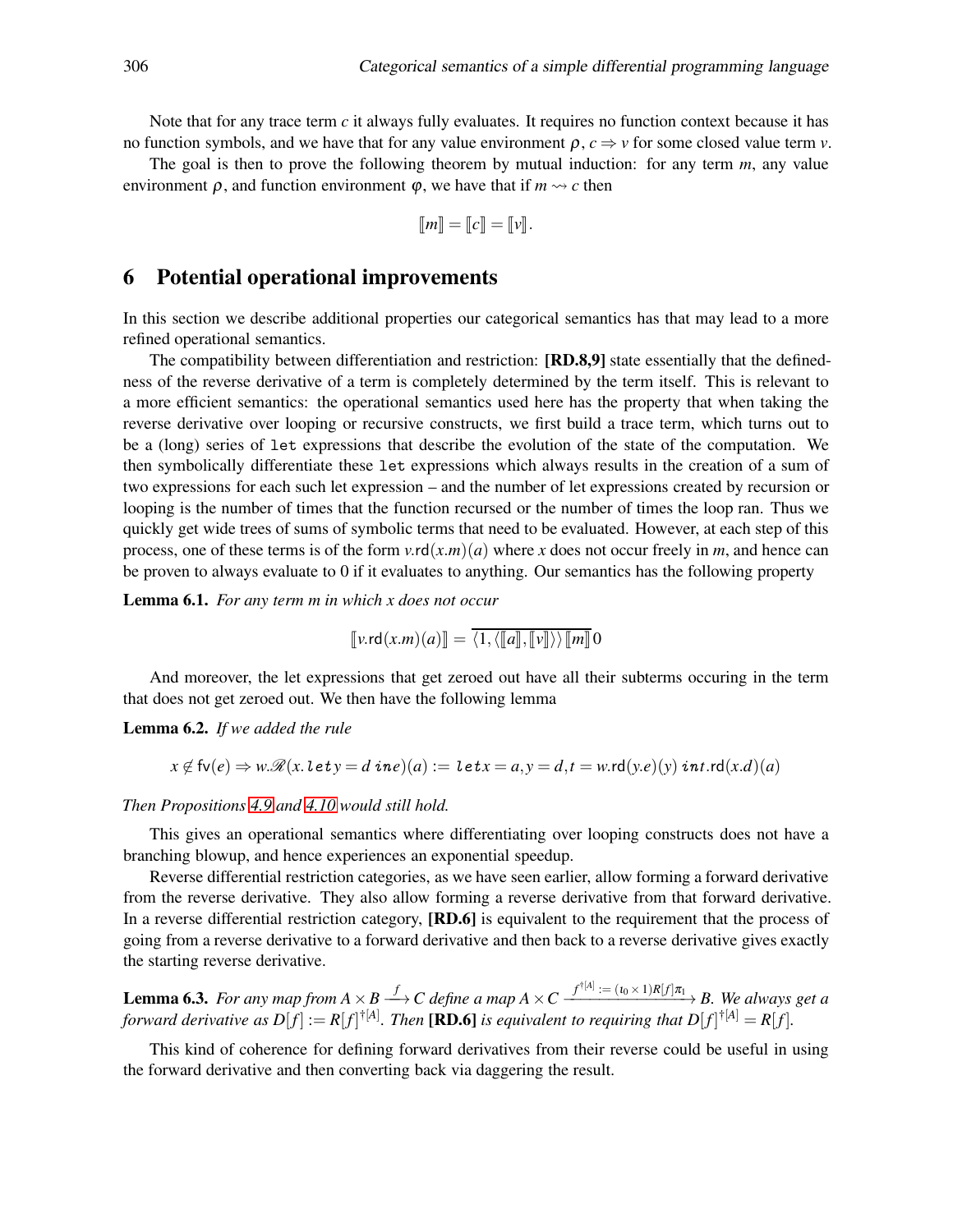Note that for any trace term *c* it always fully evaluates. It requires no function context because it has no function symbols, and we have that for any value environment  $\rho$ ,  $c \Rightarrow v$  for some closed value term *v*.

The goal is then to prove the following theorem by mutual induction: for any term *m*, any value environment  $\rho$ , and function environment  $\varphi$ , we have that if  $m \rightarrow c$  then

$$
\llbracket m \rrbracket = \llbracket c \rrbracket = \llbracket v \rrbracket.
$$

## 6 Potential operational improvements

In this section we describe additional properties our categorical semantics has that may lead to a more refined operational semantics.

The compatibility between differentiation and restriction: **[RD.8,9]** state essentially that the definedness of the reverse derivative of a term is completely determined by the term itself. This is relevant to a more efficient semantics: the operational semantics used here has the property that when taking the reverse derivative over looping or recursive constructs, we first build a trace term, which turns out to be a (long) series of let expressions that describe the evolution of the state of the computation. We then symbolically differentiate these let expressions which always results in the creation of a sum of two expressions for each such let expression – and the number of let expressions created by recursion or looping is the number of times that the function recursed or the number of times the loop ran. Thus we quickly get wide trees of sums of symbolic terms that need to be evaluated. However, at each step of this process, one of these terms is of the form  $v \cdot r d(x,m)(a)$  where *x* does not occur freely in *m*, and hence can be proven to always evaluate to 0 if it evaluates to anything. Our semantics has the following property

Lemma 6.1. *For any term m in which x does not occur*

$$
\llbracket v.\mathsf{rd}(x.m)(a) \rrbracket = \langle 1, \langle \llbracket a \rrbracket, \llbracket v \rrbracket \rangle \rangle \llbracket m \rrbracket 0
$$

And moreover, the let expressions that get zeroed out have all their subterms occuring in the term that does not get zeroed out. We then have the following lemma

Lemma 6.2. *If we added the rule*

$$
x \notin \mathsf{fv}(e) \Rightarrow w.\mathscr{R}(x.\mathit{let}\,y = d\mathit{ine})(a) := \mathit{let}\,x = a, y = d, t = w.\mathsf{rd}(y.e)(y)\mathit{int}.\mathsf{rd}(x.d)(a)
$$

#### *Then Propositions [4.9](#page-15-0) and [4.10](#page-15-1) would still hold.*

This gives an operational semantics where differentiating over looping constructs does not have a branching blowup, and hence experiences an exponential speedup.

Reverse differential restriction categories, as we have seen earlier, allow forming a forward derivative from the reverse derivative. They also allow forming a reverse derivative from that forward derivative. In a reverse differential restriction category, **[RD.6]** is equivalent to the requirement that the process of going from a reverse derivative to a forward derivative and then back to a reverse derivative gives exactly the starting reverse derivative.

**Lemma 6.3.** For any map from  $A \times B \stackrel{f}{\longrightarrow} C$  define a map  $A \times C \stackrel{f^{\dagger[A]}}{ \longrightarrow} (-I_0 \times I)R[f] \pi_1 \longrightarrow B$ . We always get a *forward derivative as*  $D[f]:=R[f]^{\dagger[A]}$ . Then [**RD.6**] is equivalent to requiring that  $D[f]^{\dagger[A]}=R[f]$ .

This kind of coherence for defining forward derivatives from their reverse could be useful in using the forward derivative and then converting back via daggering the result.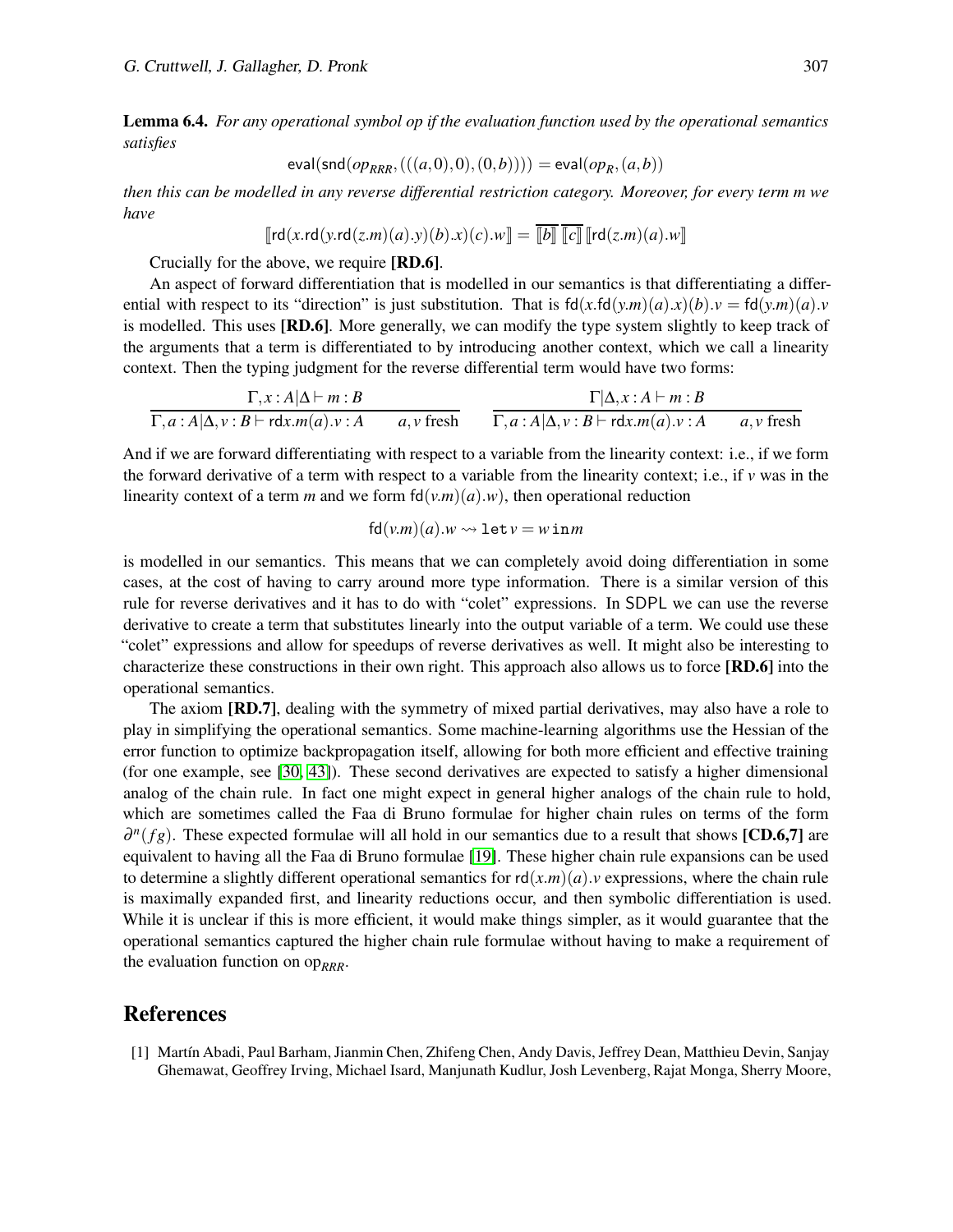Lemma 6.4. *For any operational symbol op if the evaluation function used by the operational semantics satisfies*

$$
\mathsf{eval}(\mathsf{snd}(op_{RRR},(((a,0),0),(0,b)))) = \mathsf{eval}(op_{R},(a,b))
$$

*then this can be modelled in any reverse differential restriction category. Moreover, for every term m we have*

$$
\llbracket \mathsf{rd}(x.\mathsf{rd}(y.\mathsf{rd}(z.m)(a).y)(b).x)(c).w \rrbracket = \llbracket b \rrbracket \llbracket c \rrbracket \llbracket \mathsf{rd}(z.m)(a).w \rrbracket
$$

Crucially for the above, we require [RD.6].

An aspect of forward differentiation that is modelled in our semantics is that differentiating a differential with respect to its "direction" is just substitution. That is  $fd(x.fd(y.m)(a).x)(b).y = fd(y.m)(a).y$ is modelled. This uses [RD.6]. More generally, we can modify the type system slightly to keep track of the arguments that a term is differentiated to by introducing another context, which we call a linearity context. Then the typing judgment for the reverse differential term would have two forms:

$$
\frac{\Gamma, x : A|\Delta \vdash m : B}{\Gamma, a : A|\Delta, v : B \vdash \text{rdx.m}(a) \cdot v : A \qquad a, v \text{ fresh}} \qquad \frac{\Gamma|\Delta, x : A \vdash m : B}{\Gamma, a : A|\Delta, v : B \vdash \text{rdx.m}(a) \cdot v : A \qquad a, v \text{ fresh}}
$$

And if we are forward differentiating with respect to a variable from the linearity context: i.e., if we form the forward derivative of a term with respect to a variable from the linearity context; i.e., if  $\nu$  was in the linearity context of a term *m* and we form  $fd(v.m)(a) . w$ , then operational reduction

$$
fd(v.m)(a).w \rightsquigarrow let v = w in m
$$

is modelled in our semantics. This means that we can completely avoid doing differentiation in some cases, at the cost of having to carry around more type information. There is a similar version of this rule for reverse derivatives and it has to do with "colet" expressions. In SDPL we can use the reverse derivative to create a term that substitutes linearly into the output variable of a term. We could use these "colet" expressions and allow for speedups of reverse derivatives as well. It might also be interesting to characterize these constructions in their own right. This approach also allows us to force [RD.6] into the operational semantics.

The axiom [RD.7], dealing with the symmetry of mixed partial derivatives, may also have a role to play in simplifying the operational semantics. Some machine-learning algorithms use the Hessian of the error function to optimize backpropagation itself, allowing for both more efficient and effective training (for one example, see [\[30,](#page-20-21) [43\]](#page-20-22)). These second derivatives are expected to satisfy a higher dimensional analog of the chain rule. In fact one might expect in general higher analogs of the chain rule to hold, which are sometimes called the Faa di Bruno formulae for higher chain rules on terms of the form  $\partial^n(fg)$ . These expected formulae will all hold in our semantics due to a result that shows [CD.6,7] are equivalent to having all the Faa di Bruno formulae [\[19\]](#page-19-8). These higher chain rule expansions can be used to determine a slightly different operational semantics for  $rd(x.m)(a)$ . *v* expressions, where the chain rule is maximally expanded first, and linearity reductions occur, and then symbolic differentiation is used. While it is unclear if this is more efficient, it would make things simpler, as it would guarantee that the operational semantics captured the higher chain rule formulae without having to make a requirement of the evaluation function on  $op_{RRR}$ .

#### References

<span id="page-18-0"></span>[1] Mart´ın Abadi, Paul Barham, Jianmin Chen, Zhifeng Chen, Andy Davis, Jeffrey Dean, Matthieu Devin, Sanjay Ghemawat, Geoffrey Irving, Michael Isard, Manjunath Kudlur, Josh Levenberg, Rajat Monga, Sherry Moore,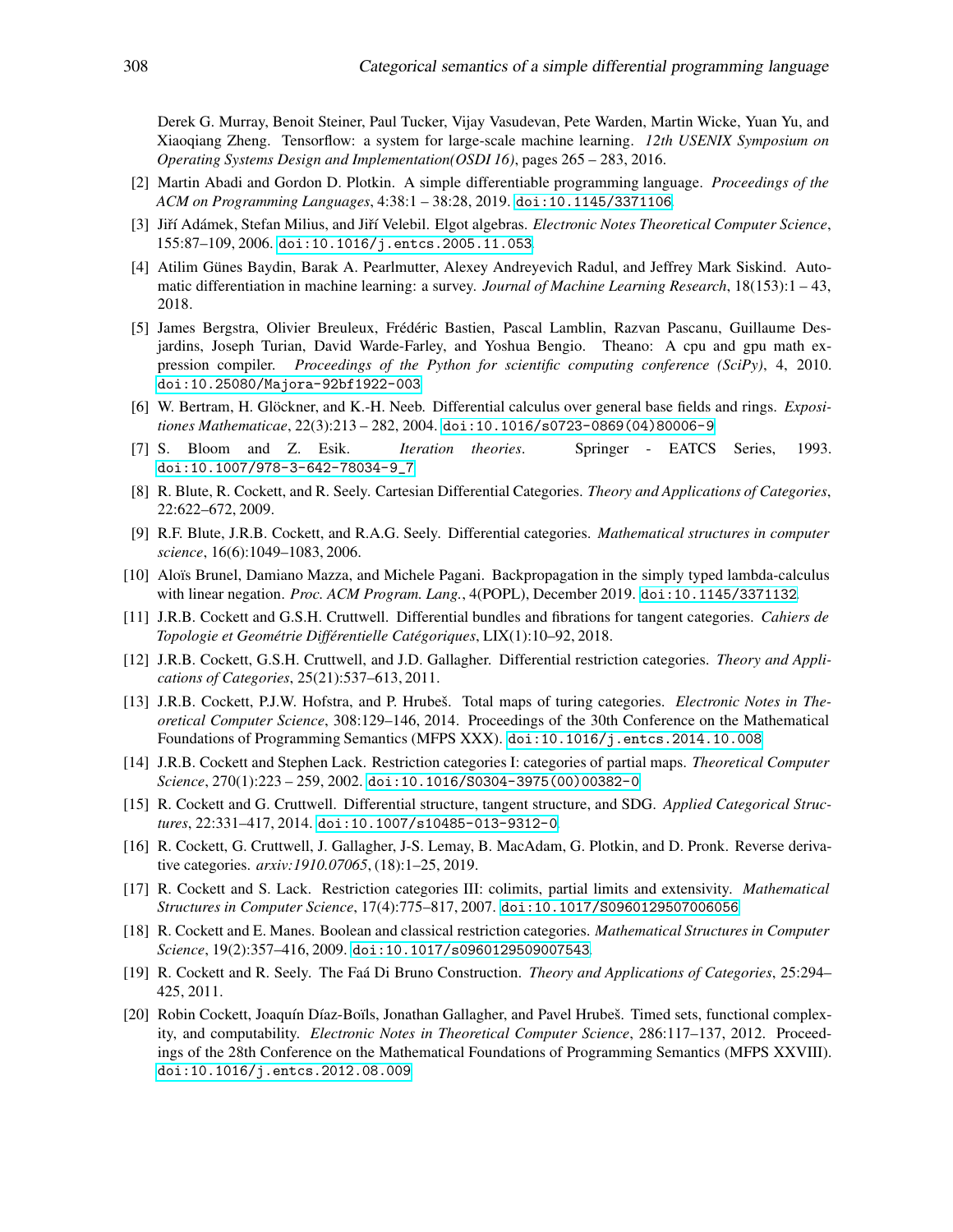Derek G. Murray, Benoit Steiner, Paul Tucker, Vijay Vasudevan, Pete Warden, Martin Wicke, Yuan Yu, and Xiaoqiang Zheng. Tensorflow: a system for large-scale machine learning. *12th USENIX Symposium on Operating Systems Design and Implementation(OSDI 16)*, pages 265 – 283, 2016.

- <span id="page-19-1"></span>[2] Martin Abadi and Gordon D. Plotkin. A simple differentiable programming language. *Proceedings of the ACM on Programming Languages*, 4:38:1 – 38:28, 2019. [doi:10.1145/3371106](http://dx.doi.org/10.1145/3371106).
- <span id="page-19-14"></span>[3] Jiří Adámek, Stefan Milius, and Jiří Velebil. Elgot algebras. *Electronic Notes Theoretical Computer Science*, 155:87–109, 2006. [doi:10.1016/j.entcs.2005.11.053](http://dx.doi.org/10.1016/j.entcs.2005.11.053).
- <span id="page-19-0"></span>[4] Atilim Günes Baydin, Barak A. Pearlmutter, Alexey Andreyevich Radul, and Jeffrey Mark Siskind. Automatic differentiation in machine learning: a survey. *Journal of Machine Learning Research*, 18(153):1 – 43, 2018.
- <span id="page-19-5"></span>[5] James Bergstra, Olivier Breuleux, Frédéric Bastien, Pascal Lamblin, Razvan Pascanu, Guillaume Desjardins, Joseph Turian, David Warde-Farley, and Yoshua Bengio. Theano: A cpu and gpu math expression compiler. *Proceedings of the Python for scientific computing conference (SciPy)*, 4, 2010. [doi:10.25080/Majora-92bf1922-003](http://dx.doi.org/10.25080/Majora-92bf1922-003).
- <span id="page-19-17"></span>[6] W. Bertram, H. Glöckner, and K.-H. Neeb. Differential calculus over general base fields and rings. *Expositiones Mathematicae*, 22(3):213 – 282, 2004. [doi:10.1016/s0723-0869\(04\)80006-9](http://dx.doi.org/10.1016/s0723-0869(04)80006-9).
- <span id="page-19-13"></span>[7] S. Bloom and Z. Esik. *Iteration theories*. Springer - EATCS Series, 1993. [doi:10.1007/978-3-642-78034-9\\_7](http://dx.doi.org/10.1007/978-3-642-78034-9_7).
- <span id="page-19-3"></span>[8] R. Blute, R. Cockett, and R. Seely. Cartesian Differential Categories. *Theory and Applications of Categories*, 22:622–672, 2009.
- <span id="page-19-18"></span>[9] R.F. Blute, J.R.B. Cockett, and R.A.G. Seely. Differential categories. *Mathematical structures in computer science*, 16(6):1049–1083, 2006.
- <span id="page-19-6"></span>[10] Aloïs Brunel, Damiano Mazza, and Michele Pagani. Backpropagation in the simply typed lambda-calculus with linear negation. *Proc. ACM Program. Lang.*, 4(POPL), December 2019. [doi:10.1145/3371132](http://dx.doi.org/10.1145/3371132).
- <span id="page-19-7"></span>[11] J.R.B. Cockett and G.S.H. Cruttwell. Differential bundles and fibrations for tangent categories. *Cahiers de Topologie et Geométrie Différentielle Catégoriques, LIX(1):10–92, 2018.*
- <span id="page-19-15"></span>[12] J.R.B. Cockett, G.S.H. Cruttwell, and J.D. Gallagher. Differential restriction categories. *Theory and Applications of Categories*, 25(21):537–613, 2011.
- <span id="page-19-12"></span>[13] J.R.B. Cockett, P.J.W. Hofstra, and P. Hrubeš. Total maps of turing categories. *Electronic Notes in Theoretical Computer Science*, 308:129–146, 2014. Proceedings of the 30th Conference on the Mathematical Foundations of Programming Semantics (MFPS XXX). [doi:10.1016/j.entcs.2014.10.008](http://dx.doi.org/10.1016/j.entcs.2014.10.008).
- <span id="page-19-4"></span>[14] J.R.B. Cockett and Stephen Lack. Restriction categories I: categories of partial maps. *Theoretical Computer Science*, 270(1):223 – 259, 2002. [doi:10.1016/S0304-3975\(00\)00382-0](http://dx.doi.org/10.1016/S0304-3975(00)00382-0).
- <span id="page-19-9"></span>[15] R. Cockett and G. Cruttwell. Differential structure, tangent structure, and SDG. *Applied Categorical Structures*, 22:331–417, 2014. [doi:10.1007/s10485-013-9312-0](http://dx.doi.org/10.1007/s10485-013-9312-0).
- <span id="page-19-2"></span>[16] R. Cockett, G. Cruttwell, J. Gallagher, J-S. Lemay, B. MacAdam, G. Plotkin, and D. Pronk. Reverse derivative categories. *arxiv:1910.07065*, (18):1–25, 2019.
- <span id="page-19-16"></span>[17] R. Cockett and S. Lack. Restriction categories III: colimits, partial limits and extensivity. *Mathematical Structures in Computer Science*, 17(4):775–817, 2007. [doi:10.1017/S0960129507006056](http://dx.doi.org/10.1017/S0960129507006056).
- <span id="page-19-10"></span>[18] R. Cockett and E. Manes. Boolean and classical restriction categories. *Mathematical Structures in Computer Science*, 19(2):357–416, 2009. [doi:10.1017/s0960129509007543](http://dx.doi.org/10.1017/s0960129509007543).
- <span id="page-19-8"></span>[19] R. Cockett and R. Seely. The Fa´a Di Bruno Construction. *Theory and Applications of Categories*, 25:294– 425, 2011.
- <span id="page-19-11"></span>[20] Robin Cockett, Joaquín Díaz-Boïls, Jonathan Gallagher, and Pavel Hrubeš. Timed sets, functional complexity, and computability. *Electronic Notes in Theoretical Computer Science*, 286:117–137, 2012. Proceedings of the 28th Conference on the Mathematical Foundations of Programming Semantics (MFPS XXVIII). [doi:10.1016/j.entcs.2012.08.009](http://dx.doi.org/10.1016/j.entcs.2012.08.009).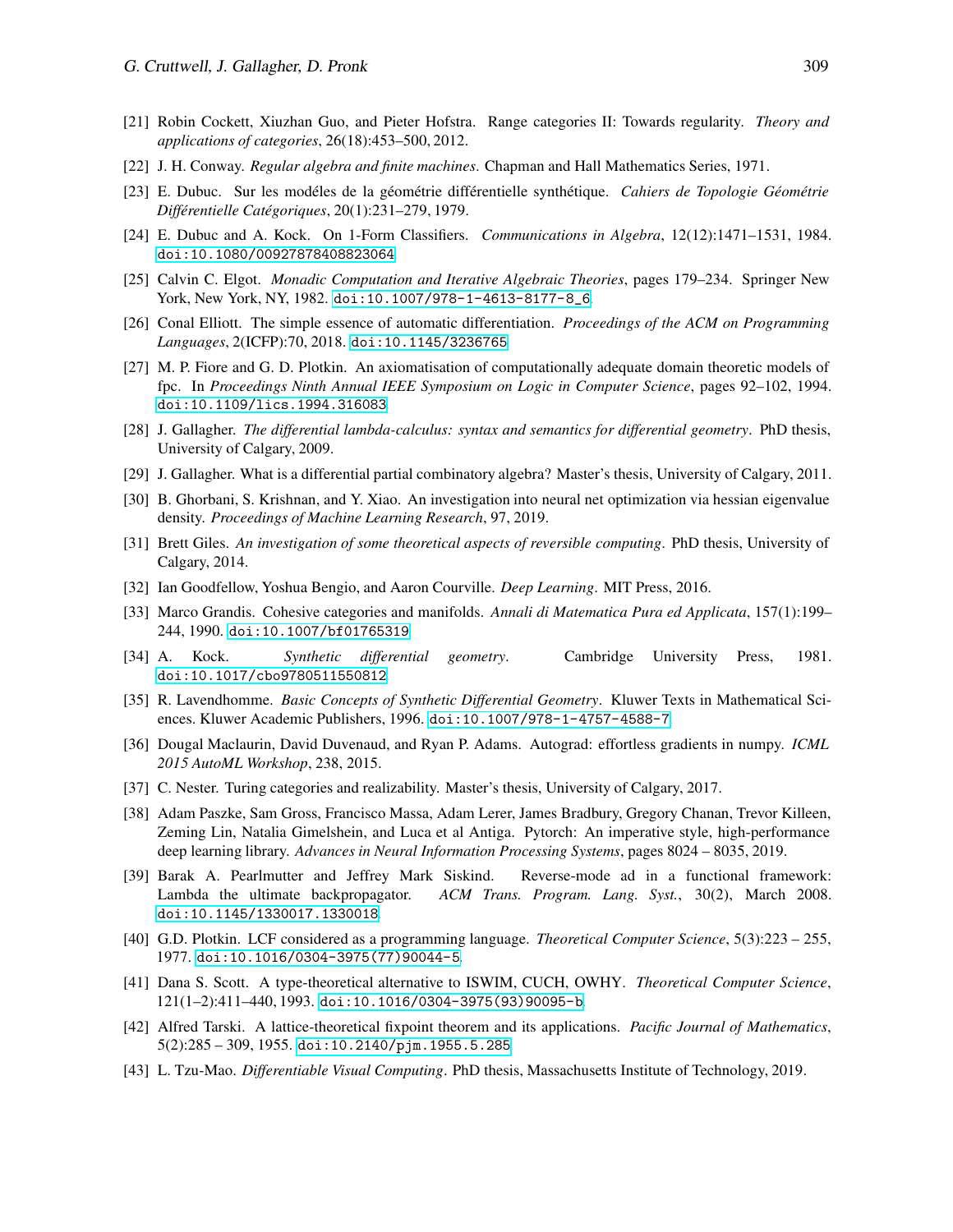- <span id="page-20-7"></span>[21] Robin Cockett, Xiuzhan Guo, and Pieter Hofstra. Range categories II: Towards regularity. *Theory and applications of categories*, 26(18):453–500, 2012.
- <span id="page-20-9"></span><span id="page-20-5"></span>[22] J. H. Conway. *Regular algebra and finite machines*. Chapman and Hall Mathematics Series, 1971.
- [23] E. Dubuc. Sur les modéles de la géométrie différentielle synthétique. *Cahiers de Topologie Géométrie Differentielle Cat ´ egoriques ´* , 20(1):231–279, 1979.
- <span id="page-20-12"></span>[24] E. Dubuc and A. Kock. On 1-Form Classifiers. *Communications in Algebra*, 12(12):1471–1531, 1984. [doi:10.1080/00927878408823064](http://dx.doi.org/10.1080/00927878408823064).
- <span id="page-20-10"></span>[25] Calvin C. Elgot. *Monadic Computation and Iterative Algebraic Theories*, pages 179–234. Springer New York, New York, NY, 1982. [doi:10.1007/978-1-4613-8177-8\\_6](http://dx.doi.org/10.1007/978-1-4613-8177-8_6).
- <span id="page-20-2"></span>[26] Conal Elliott. The simple essence of automatic differentiation. *Proceedings of the ACM on Programming Languages*, 2(ICFP):70, 2018. [doi:10.1145/3236765](http://dx.doi.org/10.1145/3236765).
- <span id="page-20-19"></span>[27] M. P. Fiore and G. D. Plotkin. An axiomatisation of computationally adequate domain theoretic models of fpc. In *Proceedings Ninth Annual IEEE Symposium on Logic in Computer Science*, pages 92–102, 1994. [doi:10.1109/lics.1994.316083](http://dx.doi.org/10.1109/lics.1994.316083).
- <span id="page-20-6"></span>[28] J. Gallagher. *The differential lambda-calculus: syntax and semantics for differential geometry*. PhD thesis, University of Calgary, 2009.
- <span id="page-20-21"></span><span id="page-20-11"></span>[29] J. Gallagher. What is a differential partial combinatory algebra? Master's thesis, University of Calgary, 2011.
- [30] B. Ghorbani, S. Krishnan, and Y. Xiao. An investigation into neural net optimization via hessian eigenvalue density. *Proceedings of Machine Learning Research*, 97, 2019.
- <span id="page-20-8"></span>[31] Brett Giles. *An investigation of some theoretical aspects of reversible computing*. PhD thesis, University of Calgary, 2014.
- <span id="page-20-16"></span><span id="page-20-0"></span>[32] Ian Goodfellow, Yoshua Bengio, and Aaron Courville. *Deep Learning*. MIT Press, 2016.
- [33] Marco Grandis. Cohesive categories and manifolds. *Annali di Matematica Pura ed Applicata*, 157(1):199– 244, 1990. [doi:10.1007/bf01765319](http://dx.doi.org/10.1007/bf01765319).
- <span id="page-20-3"></span>[34] A. Kock. *Synthetic differential geometry*. Cambridge University Press, 1981. [doi:10.1017/cbo9780511550812](http://dx.doi.org/10.1017/cbo9780511550812).
- <span id="page-20-4"></span>[35] R. Lavendhomme. *Basic Concepts of Synthetic Differential Geometry*. Kluwer Texts in Mathematical Sciences. Kluwer Academic Publishers, 1996. [doi:10.1007/978-1-4757-4588-7](http://dx.doi.org/10.1007/978-1-4757-4588-7).
- <span id="page-20-14"></span>[36] Dougal Maclaurin, David Duvenaud, and Ryan P. Adams. Autograd: effortless gradients in numpy. *ICML 2015 AutoML Workshop*, 238, 2015.
- <span id="page-20-15"></span><span id="page-20-13"></span>[37] C. Nester. Turing categories and realizability. Master's thesis, University of Calgary, 2017.
- [38] Adam Paszke, Sam Gross, Francisco Massa, Adam Lerer, James Bradbury, Gregory Chanan, Trevor Killeen, Zeming Lin, Natalia Gimelshein, and Luca et al Antiga. Pytorch: An imperative style, high-performance deep learning library. *Advances in Neural Information Processing Systems*, pages 8024 – 8035, 2019.
- <span id="page-20-1"></span>[39] Barak A. Pearlmutter and Jeffrey Mark Siskind. Reverse-mode ad in a functional framework: Lambda the ultimate backpropagator. *ACM Trans. Program. Lang. Syst.*, 30(2), March 2008. [doi:10.1145/1330017.1330018](http://dx.doi.org/10.1145/1330017.1330018).
- <span id="page-20-18"></span>[40] G.D. Plotkin. LCF considered as a programming language. *Theoretical Computer Science*, 5(3):223 – 255, 1977. [doi:10.1016/0304-3975\(77\)90044-5](http://dx.doi.org/10.1016/0304-3975(77)90044-5).
- <span id="page-20-17"></span>[41] Dana S. Scott. A type-theoretical alternative to ISWIM, CUCH, OWHY. *Theoretical Computer Science*, 121(1–2):411–440, 1993. [doi:10.1016/0304-3975\(93\)90095-b](http://dx.doi.org/10.1016/0304-3975(93)90095-b).
- <span id="page-20-20"></span>[42] Alfred Tarski. A lattice-theoretical fixpoint theorem and its applications. *Pacific Journal of Mathematics*, 5(2):285 – 309, 1955. [doi:10.2140/pjm.1955.5.285](http://dx.doi.org/10.2140/pjm.1955.5.285).
- <span id="page-20-22"></span>[43] L. Tzu-Mao. *Differentiable Visual Computing*. PhD thesis, Massachusetts Institute of Technology, 2019.